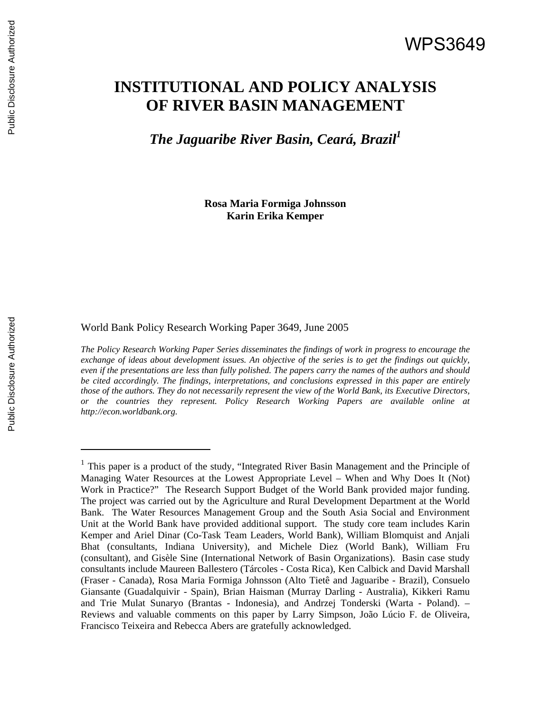# **INSTITUTIONAL AND POLICY ANALYSIS OF RIVER BASIN MANAGEMENT**

*The Jaguaribe River Basin, Ceará, Brazil<sup>1</sup>* 

**Rosa Maria Formiga Johnsson Karin Erika Kemper** 

World Bank Policy Research Working Paper 3649, June 2005

*The Policy Research Working Paper Series disseminates the findings of work in progress to encourage the exchange of ideas about development issues. An objective of the series is to get the findings out quickly, even if the presentations are less than fully polished. The papers carry the names of the authors and should be cited accordingly. The findings, interpretations, and conclusions expressed in this paper are entirely those of the authors. They do not necessarily represent the view of the World Bank, its Executive Directors, or the countries they represent. Policy Research Working Papers are available online at http://econ.worldbank.org.* 

 $<sup>1</sup>$  This paper is a product of the study, "Integrated River Basin Management and the Principle of</sup> Managing Water Resources at the Lowest Appropriate Level – When and Why Does It (Not) Work in Practice?" The Research Support Budget of the World Bank provided major funding. The project was carried out by the Agriculture and Rural Development Department at the World Bank. The Water Resources Management Group and the South Asia Social and Environment Unit at the World Bank have provided additional support. The study core team includes Karin Kemper and Ariel Dinar (Co-Task Team Leaders, World Bank), William Blomquist and Anjali Bhat (consultants, Indiana University), and Michele Diez (World Bank), William Fru (consultant), and Gisèle Sine (International Network of Basin Organizations). Basin case study consultants include Maureen Ballestero (Tárcoles - Costa Rica), Ken Calbick and David Marshall (Fraser - Canada), Rosa Maria Formiga Johnsson (Alto Tietê and Jaguaribe - Brazil), Consuelo Giansante (Guadalquivir - Spain), Brian Haisman (Murray Darling - Australia), Kikkeri Ramu and Trie Mulat Sunaryo (Brantas - Indonesia), and Andrzej Tonderski (Warta - Poland). – Reviews and valuable comments on this paper by Larry Simpson, João Lúcio F. de Oliveira, Francisco Teixeira and Rebecca Abers are gratefully acknowledged.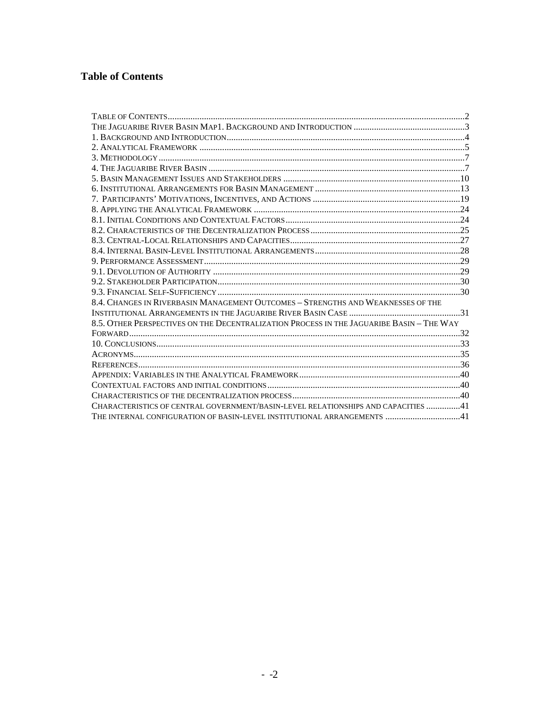# **Table of Contents**

| 8.4. CHANGES IN RIVERBASIN MANAGEMENT OUTCOMES - STRENGTHS AND WEAKNESSES OF THE         |  |
|------------------------------------------------------------------------------------------|--|
|                                                                                          |  |
| 8.5. OTHER PERSPECTIVES ON THE DECENTRALIZATION PROCESS IN THE JAGUARIBE BASIN - THE WAY |  |
|                                                                                          |  |
|                                                                                          |  |
|                                                                                          |  |
|                                                                                          |  |
|                                                                                          |  |
|                                                                                          |  |
|                                                                                          |  |
| CHARACTERISTICS OF CENTRAL GOVERNMENT/BASIN-LEVEL RELATIONSHIPS AND CAPACITIES 41        |  |
| THE INTERNAL CONFIGURATION OF BASIN-LEVEL INSTITUTIONAL ARRANGEMENTS 41                  |  |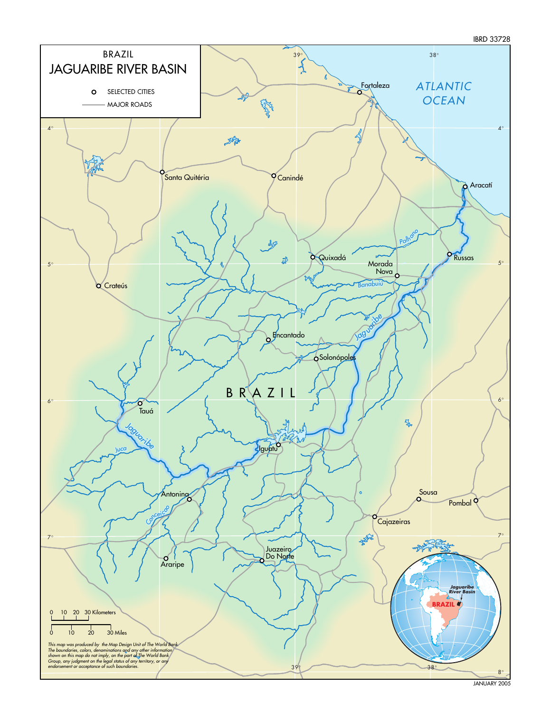

JANUARY 2005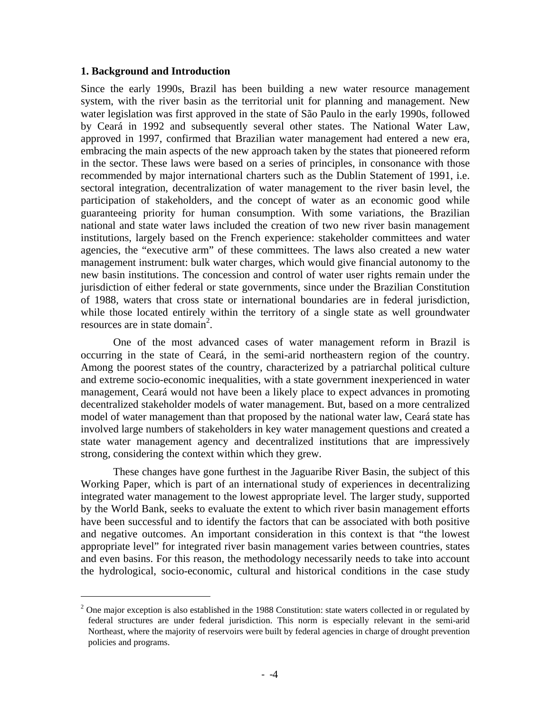#### **1. Background and Introduction**

 $\overline{a}$ 

Since the early 1990s, Brazil has been building a new water resource management system, with the river basin as the territorial unit for planning and management. New water legislation was first approved in the state of São Paulo in the early 1990s, followed by Ceará in 1992 and subsequently several other states. The National Water Law, approved in 1997, confirmed that Brazilian water management had entered a new era, embracing the main aspects of the new approach taken by the states that pioneered reform in the sector. These laws were based on a series of principles, in consonance with those recommended by major international charters such as the Dublin Statement of 1991, i.e. sectoral integration, decentralization of water management to the river basin level, the participation of stakeholders, and the concept of water as an economic good while guaranteeing priority for human consumption. With some variations, the Brazilian national and state water laws included the creation of two new river basin management institutions, largely based on the French experience: stakeholder committees and water agencies, the "executive arm" of these committees. The laws also created a new water management instrument: bulk water charges, which would give financial autonomy to the new basin institutions. The concession and control of water user rights remain under the jurisdiction of either federal or state governments, since under the Brazilian Constitution of 1988, waters that cross state or international boundaries are in federal jurisdiction, while those located entirely within the territory of a single state as well groundwater resources are in state domain<sup>2</sup>.

 One of the most advanced cases of water management reform in Brazil is occurring in the state of Ceará, in the semi-arid northeastern region of the country. Among the poorest states of the country, characterized by a patriarchal political culture and extreme socio-economic inequalities, with a state government inexperienced in water management, Ceará would not have been a likely place to expect advances in promoting decentralized stakeholder models of water management. But, based on a more centralized model of water management than that proposed by the national water law, Ceará state has involved large numbers of stakeholders in key water management questions and created a state water management agency and decentralized institutions that are impressively strong, considering the context within which they grew.

 These changes have gone furthest in the Jaguaribe River Basin, the subject of this Working Paper, which is part of an international study of experiences in decentralizing integrated water management to the lowest appropriate level*.* The larger study, supported by the World Bank, seeks to evaluate the extent to which river basin management efforts have been successful and to identify the factors that can be associated with both positive and negative outcomes. An important consideration in this context is that "the lowest appropriate level" for integrated river basin management varies between countries, states and even basins. For this reason, the methodology necessarily needs to take into account the hydrological, socio-economic, cultural and historical conditions in the case study

 $2$  One major exception is also established in the 1988 Constitution: state waters collected in or regulated by federal structures are under federal jurisdiction. This norm is especially relevant in the semi-arid Northeast, where the majority of reservoirs were built by federal agencies in charge of drought prevention policies and programs.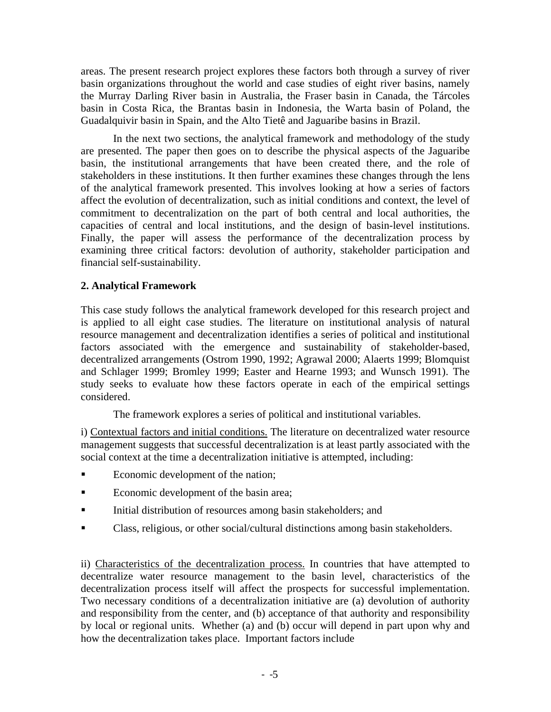areas. The present research project explores these factors both through a survey of river basin organizations throughout the world and case studies of eight river basins, namely the Murray Darling River basin in Australia, the Fraser basin in Canada, the Tárcoles basin in Costa Rica, the Brantas basin in Indonesia, the Warta basin of Poland, the Guadalquivir basin in Spain, and the Alto Tietê and Jaguaribe basins in Brazil.

 In the next two sections, the analytical framework and methodology of the study are presented. The paper then goes on to describe the physical aspects of the Jaguaribe basin, the institutional arrangements that have been created there, and the role of stakeholders in these institutions. It then further examines these changes through the lens of the analytical framework presented. This involves looking at how a series of factors affect the evolution of decentralization, such as initial conditions and context, the level of commitment to decentralization on the part of both central and local authorities, the capacities of central and local institutions, and the design of basin-level institutions. Finally, the paper will assess the performance of the decentralization process by examining three critical factors: devolution of authority, stakeholder participation and financial self-sustainability.

## **2. Analytical Framework**

This case study follows the analytical framework developed for this research project and is applied to all eight case studies. The literature on institutional analysis of natural resource management and decentralization identifies a series of political and institutional factors associated with the emergence and sustainability of stakeholder-based, decentralized arrangements (Ostrom 1990, 1992; Agrawal 2000; Alaerts 1999; Blomquist and Schlager 1999; Bromley 1999; Easter and Hearne 1993; and Wunsch 1991). The study seeks to evaluate how these factors operate in each of the empirical settings considered.

The framework explores a series of political and institutional variables.

i) Contextual factors and initial conditions. The literature on decentralized water resource management suggests that successful decentralization is at least partly associated with the social context at the time a decentralization initiative is attempted, including:

- Economic development of the nation;
- Economic development of the basin area;
- Initial distribution of resources among basin stakeholders; and
- **Class, religious, or other social/cultural distinctions among basin stakeholders.**

ii) Characteristics of the decentralization process. In countries that have attempted to decentralize water resource management to the basin level, characteristics of the decentralization process itself will affect the prospects for successful implementation. Two necessary conditions of a decentralization initiative are (a) devolution of authority and responsibility from the center, and (b) acceptance of that authority and responsibility by local or regional units. Whether (a) and (b) occur will depend in part upon why and how the decentralization takes place. Important factors include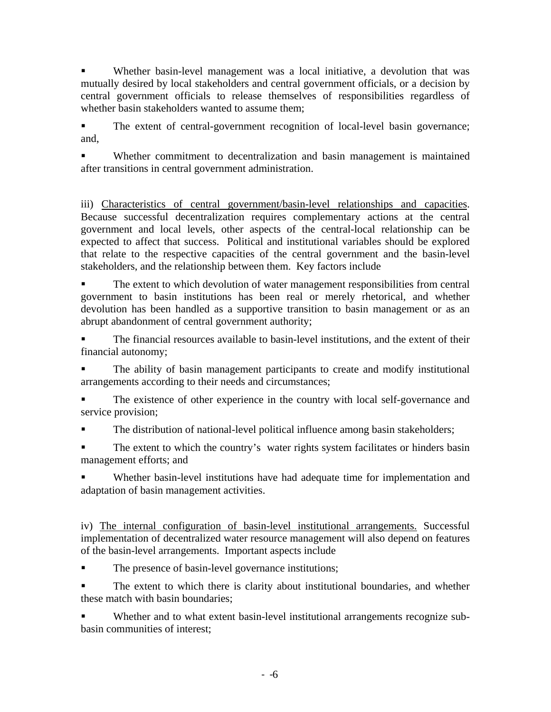Whether basin-level management was a local initiative, a devolution that was mutually desired by local stakeholders and central government officials, or a decision by central government officials to release themselves of responsibilities regardless of whether basin stakeholders wanted to assume them:

 The extent of central-government recognition of local-level basin governance; and,

 Whether commitment to decentralization and basin management is maintained after transitions in central government administration.

iii) Characteristics of central government/basin-level relationships and capacities. Because successful decentralization requires complementary actions at the central government and local levels, other aspects of the central-local relationship can be expected to affect that success. Political and institutional variables should be explored that relate to the respective capacities of the central government and the basin-level stakeholders, and the relationship between them. Key factors include

 The extent to which devolution of water management responsibilities from central government to basin institutions has been real or merely rhetorical, and whether devolution has been handled as a supportive transition to basin management or as an abrupt abandonment of central government authority;

 The financial resources available to basin-level institutions, and the extent of their financial autonomy;

 The ability of basin management participants to create and modify institutional arrangements according to their needs and circumstances;

 The existence of other experience in the country with local self-governance and service provision;

The distribution of national-level political influence among basin stakeholders;

The extent to which the country's water rights system facilitates or hinders basin management efforts; and

 Whether basin-level institutions have had adequate time for implementation and adaptation of basin management activities.

iv) The internal configuration of basin-level institutional arrangements. Successful implementation of decentralized water resource management will also depend on features of the basin-level arrangements. Important aspects include

The presence of basin-level governance institutions;

 The extent to which there is clarity about institutional boundaries, and whether these match with basin boundaries;

 Whether and to what extent basin-level institutional arrangements recognize subbasin communities of interest;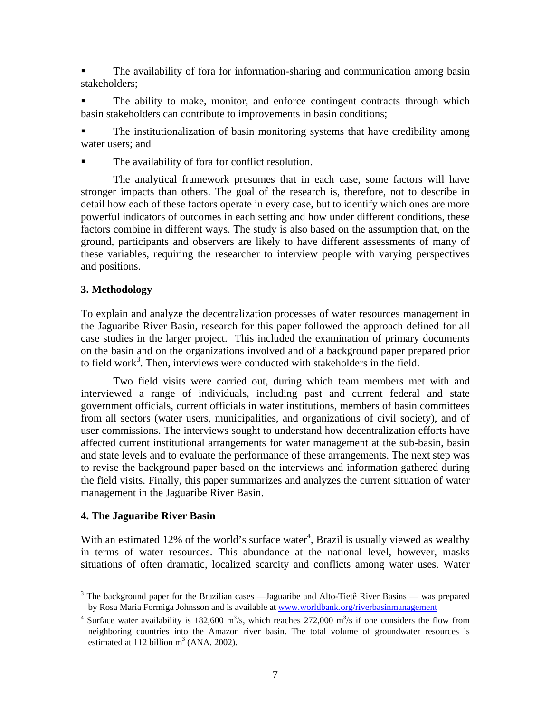The availability of fora for information-sharing and communication among basin stakeholders;

 The ability to make, monitor, and enforce contingent contracts through which basin stakeholders can contribute to improvements in basin conditions;

**The institutionalization of basin monitoring systems that have credibility among** water users; and

The availability of fora for conflict resolution.

 The analytical framework presumes that in each case, some factors will have stronger impacts than others. The goal of the research is, therefore, not to describe in detail how each of these factors operate in every case, but to identify which ones are more powerful indicators of outcomes in each setting and how under different conditions, these factors combine in different ways. The study is also based on the assumption that, on the ground, participants and observers are likely to have different assessments of many of these variables, requiring the researcher to interview people with varying perspectives and positions.

# **3. Methodology**

To explain and analyze the decentralization processes of water resources management in the Jaguaribe River Basin, research for this paper followed the approach defined for all case studies in the larger project. This included the examination of primary documents on the basin and on the organizations involved and of a background paper prepared prior to field work<sup>3</sup>. Then, interviews were conducted with stakeholders in the field.

 Two field visits were carried out, during which team members met with and interviewed a range of individuals, including past and current federal and state government officials, current officials in water institutions, members of basin committees from all sectors (water users, municipalities, and organizations of civil society), and of user commissions. The interviews sought to understand how decentralization efforts have affected current institutional arrangements for water management at the sub-basin, basin and state levels and to evaluate the performance of these arrangements. The next step was to revise the background paper based on the interviews and information gathered during the field visits. Finally, this paper summarizes and analyzes the current situation of water management in the Jaguaribe River Basin.

## **4. The Jaguaribe River Basin**

 $\overline{a}$ 

With an estimated 12% of the world's surface water<sup>4</sup>, Brazil is usually viewed as wealthy in terms of water resources. This abundance at the national level, however, masks situations of often dramatic, localized scarcity and conflicts among water uses. Water

 $3$  The background paper for the Brazilian cases —Jaguaribe and Alto-Tietê River Basins — was prepared by Rosa Maria Formiga Johnsson and is available at www.worldbank.org/riverbasinmanagement

<sup>&</sup>lt;sup>4</sup> Surface water availability is 182,600 m<sup>3</sup>/s, which reaches 272,000 m<sup>3</sup>/s if one considers the flow from neighboring countries into the Amazon river basin. The total volume of groundwater resources is estimated at 112 billion  $m<sup>3</sup>$  (ANA, 2002).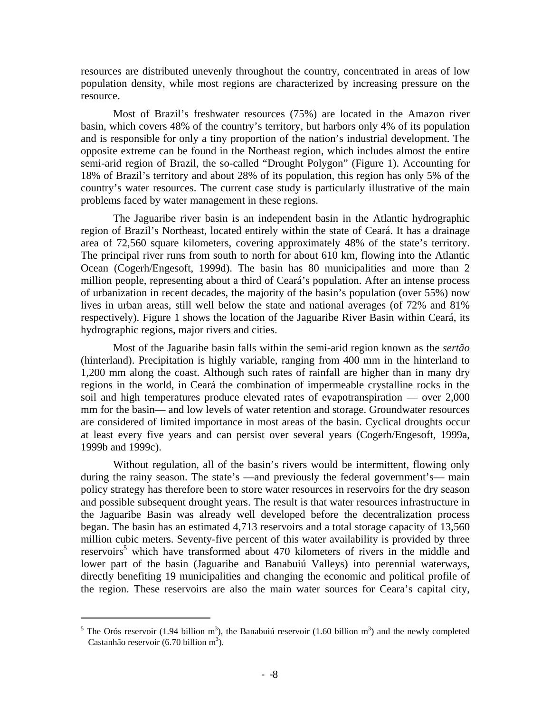resources are distributed unevenly throughout the country, concentrated in areas of low population density, while most regions are characterized by increasing pressure on the resource.

 Most of Brazil's freshwater resources (75%) are located in the Amazon river basin, which covers 48% of the country's territory, but harbors only 4% of its population and is responsible for only a tiny proportion of the nation's industrial development. The opposite extreme can be found in the Northeast region, which includes almost the entire semi-arid region of Brazil, the so-called "Drought Polygon" (Figure 1). Accounting for 18% of Brazil's territory and about 28% of its population, this region has only 5% of the country's water resources. The current case study is particularly illustrative of the main problems faced by water management in these regions.

 The Jaguaribe river basin is an independent basin in the Atlantic hydrographic region of Brazil's Northeast, located entirely within the state of Ceará. It has a drainage area of 72,560 square kilometers, covering approximately 48% of the state's territory. The principal river runs from south to north for about 610 km, flowing into the Atlantic Ocean (Cogerh/Engesoft, 1999d). The basin has 80 municipalities and more than 2 million people, representing about a third of Ceará's population. After an intense process of urbanization in recent decades, the majority of the basin's population (over 55%) now lives in urban areas, still well below the state and national averages (of 72% and 81% respectively). Figure 1 shows the location of the Jaguaribe River Basin within Ceará, its hydrographic regions, major rivers and cities.

 Most of the Jaguaribe basin falls within the semi-arid region known as the *sertão* (hinterland). Precipitation is highly variable, ranging from 400 mm in the hinterland to 1,200 mm along the coast. Although such rates of rainfall are higher than in many dry regions in the world, in Ceará the combination of impermeable crystalline rocks in the soil and high temperatures produce elevated rates of evapotranspiration — over 2,000 mm for the basin— and low levels of water retention and storage. Groundwater resources are considered of limited importance in most areas of the basin. Cyclical droughts occur at least every five years and can persist over several years (Cogerh/Engesoft, 1999a, 1999b and 1999c).

 Without regulation, all of the basin's rivers would be intermittent, flowing only during the rainy season. The state's —and previously the federal government's— main policy strategy has therefore been to store water resources in reservoirs for the dry season and possible subsequent drought years. The result is that water resources infrastructure in the Jaguaribe Basin was already well developed before the decentralization process began. The basin has an estimated 4,713 reservoirs and a total storage capacity of 13,560 million cubic meters. Seventy-five percent of this water availability is provided by three reservoirs<sup>5</sup> which have transformed about 470 kilometers of rivers in the middle and lower part of the basin (Jaguaribe and Banabuiú Valleys) into perennial waterways, directly benefiting 19 municipalities and changing the economic and political profile of the region. These reservoirs are also the main water sources for Ceara's capital city,

<sup>&</sup>lt;sup>5</sup> The Orós reservoir (1.94 billion m<sup>3</sup>), the Banabuiú reservoir (1.60 billion m<sup>3</sup>) and the newly completed Castanhão reservoir  $(6.70 \text{ billion m}^3)$ .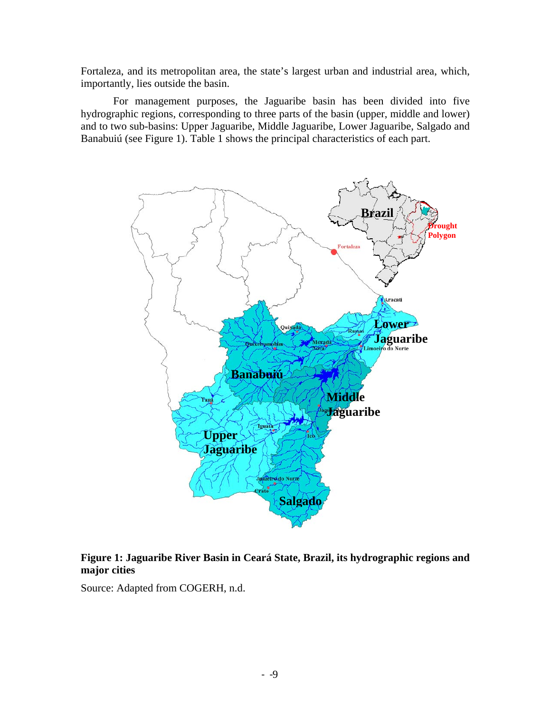Fortaleza, and its metropolitan area, the state's largest urban and industrial area, which, importantly, lies outside the basin.

 For management purposes, the Jaguaribe basin has been divided into five hydrographic regions, corresponding to three parts of the basin (upper, middle and lower) and to two sub-basins: Upper Jaguaribe, Middle Jaguaribe, Lower Jaguaribe, Salgado and Banabuiú (see Figure 1). Table 1 shows the principal characteristics of each part.



## **Figure 1: Jaguaribe River Basin in Ceará State, Brazil, its hydrographic regions and major cities**

Source: Adapted from COGERH, n.d.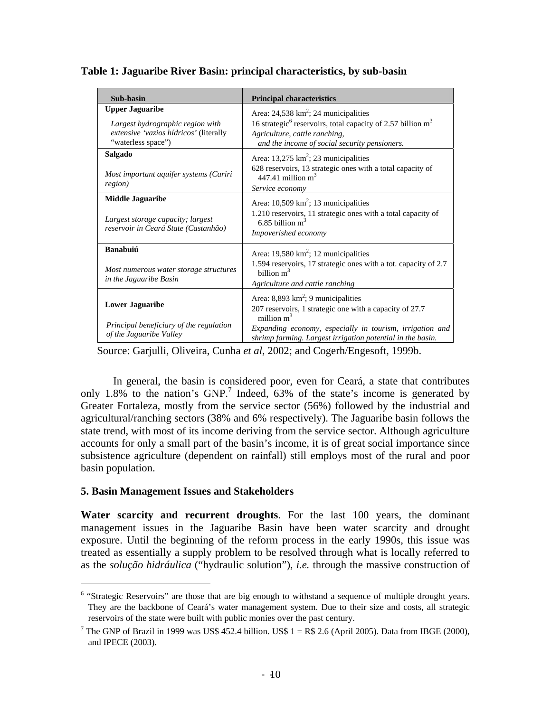|  |  | Table 1: Jaguaribe River Basin: principal characteristics, by sub-basin |  |
|--|--|-------------------------------------------------------------------------|--|
|  |  |                                                                         |  |
|  |  |                                                                         |  |

| Sub-basin                                                                                                                  | <b>Principal characteristics</b>                                                                                                                                                                                                                   |
|----------------------------------------------------------------------------------------------------------------------------|----------------------------------------------------------------------------------------------------------------------------------------------------------------------------------------------------------------------------------------------------|
| <b>Upper Jaguaribe</b><br>Largest hydrographic region with<br>extensive 'vazios hídricos' (literally<br>"waterless space") | Area: $24,538$ km <sup>2</sup> ; 24 municipalities<br>16 strategic <sup>6</sup> reservoirs, total capacity of 2.57 billion $m3$<br>Agriculture, cattle ranching,<br>and the income of social security pensioners.                                  |
| Salgado<br>Most important aquifer systems (Cariri<br>region)                                                               | Area: $13,275 \text{ km}^2$ ; 23 municipalities<br>628 reservoirs, 13 strategic ones with a total capacity of<br>$447.41$ million m <sup>3</sup><br>Service economy                                                                                |
| <b>Middle Jaguaribe</b><br>Largest storage capacity; largest<br>reservoir in Ceará State (Castanhão)                       | Area: $10,509$ km <sup>2</sup> ; 13 municipalities<br>1.210 reservoirs, 11 strategic ones with a total capacity of<br>6.85 billion $m3$<br>Impoverished economy                                                                                    |
| <b>Banabuiú</b><br>Most numerous water storage structures<br>in the Jaguaribe Basin                                        | Area: $19,580 \text{ km}^2$ ; 12 municipalities<br>1.594 reservoirs, 17 strategic ones with a tot. capacity of 2.7<br>billion $m3$<br>Agriculture and cattle ranching                                                                              |
| <b>Lower Jaguaribe</b><br>Principal beneficiary of the regulation<br>of the Jaguaribe Valley                               | Area: $8,893 \text{ km}^2$ ; 9 municipalities<br>207 reservoirs, 1 strategic one with a capacity of 27.7<br>million $m3$<br>Expanding economy, especially in tourism, irrigation and<br>shrimp farming. Largest irrigation potential in the basin. |

Source: Garjulli, Oliveira, Cunha *et al*, 2002; and Cogerh/Engesoft, 1999b.

 In general, the basin is considered poor, even for Ceará, a state that contributes only 1.8% to the nation's  $GNP$ .<sup>7</sup> Indeed,  $63%$  of the state's income is generated by Greater Fortaleza, mostly from the service sector (56%) followed by the industrial and agricultural/ranching sectors (38% and 6% respectively). The Jaguaribe basin follows the state trend, with most of its income deriving from the service sector. Although agriculture accounts for only a small part of the basin's income, it is of great social importance since subsistence agriculture (dependent on rainfall) still employs most of the rural and poor basin population.

# **5. Basin Management Issues and Stakeholders**

 $\overline{a}$ 

**Water scarcity and recurrent droughts**. For the last 100 years, the dominant management issues in the Jaguaribe Basin have been water scarcity and drought exposure. Until the beginning of the reform process in the early 1990s, this issue was treated as essentially a supply problem to be resolved through what is locally referred to as the *solução hidráulica* ("hydraulic solution"), *i.e.* through the massive construction of

<sup>&</sup>lt;sup>6</sup> "Strategic Reservoirs" are those that are big enough to withstand a sequence of multiple drought years. They are the backbone of Ceará's water management system. Due to their size and costs, all strategic reservoirs of the state were built with public monies over the past century.

<sup>&</sup>lt;sup>7</sup> The GNP of Brazil in 1999 was US\$ 452.4 billion. US\$  $1 = R$$  2.6 (April 2005). Data from IBGE (2000), and IPECE (2003).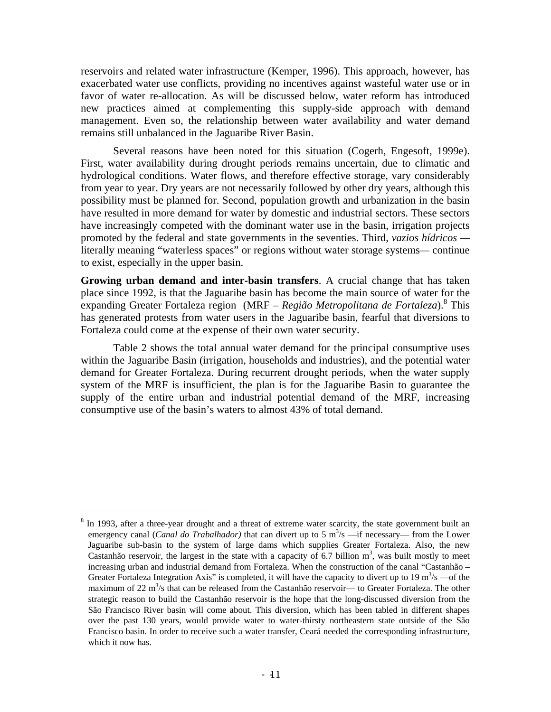reservoirs and related water infrastructure (Kemper, 1996). This approach, however, has exacerbated water use conflicts, providing no incentives against wasteful water use or in favor of water re-allocation. As will be discussed below, water reform has introduced new practices aimed at complementing this supply-side approach with demand management. Even so, the relationship between water availability and water demand remains still unbalanced in the Jaguaribe River Basin.

 Several reasons have been noted for this situation (Cogerh, Engesoft, 1999e). First, water availability during drought periods remains uncertain, due to climatic and hydrological conditions. Water flows, and therefore effective storage, vary considerably from year to year. Dry years are not necessarily followed by other dry years, although this possibility must be planned for. Second, population growth and urbanization in the basin have resulted in more demand for water by domestic and industrial sectors. These sectors have increasingly competed with the dominant water use in the basin, irrigation projects promoted by the federal and state governments in the seventies. Third, *vazios hídricos*  literally meaning "waterless spaces" or regions without water storage systems*—* continue to exist, especially in the upper basin.

**Growing urban demand and inter-basin transfers**. A crucial change that has taken place since 1992, is that the Jaguaribe basin has become the main source of water for the expanding Greater Fortaleza region (MRF – *Região Metropolitana de Fortaleza*).8 This has generated protests from water users in the Jaguaribe basin, fearful that diversions to Fortaleza could come at the expense of their own water security.

 Table 2 shows the total annual water demand for the principal consumptive uses within the Jaguaribe Basin (irrigation, households and industries), and the potential water demand for Greater Fortaleza. During recurrent drought periods, when the water supply system of the MRF is insufficient, the plan is for the Jaguaribe Basin to guarantee the supply of the entire urban and industrial potential demand of the MRF, increasing consumptive use of the basin's waters to almost 43% of total demand.

<sup>&</sup>lt;sup>8</sup> In 1993, after a three-year drought and a threat of extreme water scarcity, the state government built an emergency canal (*Canal do Trabalhador*) that can divert up to 5 m<sup>3</sup>/s —if necessary— from the Lower Jaguaribe sub-basin to the system of large dams which supplies Greater Fortaleza. Also, the new Castanhão reservoir, the largest in the state with a capacity of 6.7 billion  $m<sup>3</sup>$ , was built mostly to meet increasing urban and industrial demand from Fortaleza. When the construction of the canal "Castanhão – Greater Fortaleza Integration Axis" is completed, it will have the capacity to divert up to 19  $m<sup>3</sup>/s$  —of the maximum of 22 m<sup>3</sup>/s that can be released from the Castanhão reservoir— to Greater Fortaleza. The other strategic reason to build the Castanhão reservoir is the hope that the long-discussed diversion from the São Francisco River basin will come about. This diversion, which has been tabled in different shapes over the past 130 years, would provide water to water-thirsty northeastern state outside of the São Francisco basin. In order to receive such a water transfer, Ceará needed the corresponding infrastructure, which it now has.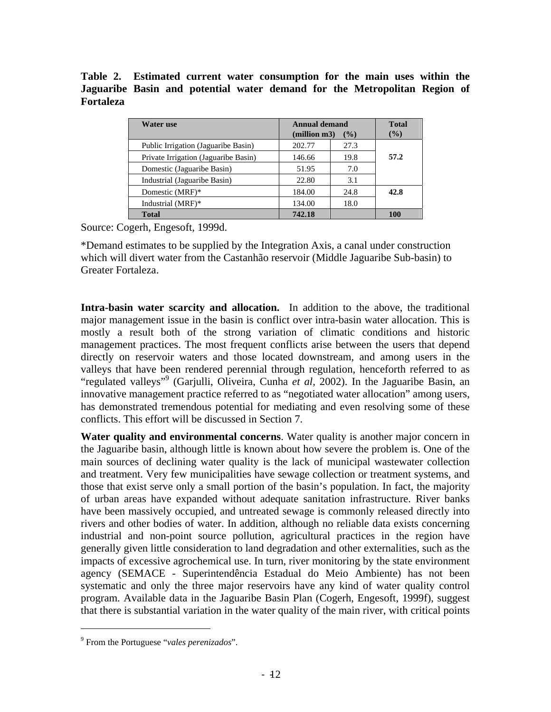**Table 2. Estimated current water consumption for the main uses within the Jaguaribe Basin and potential water demand for the Metropolitan Region of Fortaleza** 

| Water use                            | <b>Annual demand</b><br>(million m3) | $($ %) | <b>Total</b><br>$(\%)$ |
|--------------------------------------|--------------------------------------|--------|------------------------|
| Public Irrigation (Jaguaribe Basin)  | 202.77                               | 27.3   |                        |
| Private Irrigation (Jaguaribe Basin) | 146.66                               | 19.8   | 57.2                   |
| Domestic (Jaguaribe Basin)           | 51.95                                | 7.0    |                        |
| Industrial (Jaguaribe Basin)         | 22.80                                | 3.1    |                        |
| Domestic (MRF)*                      | 184.00                               | 24.8   | 42.8                   |
| Industrial (MRF)*                    | 134.00                               | 18.0   |                        |
| <b>Total</b>                         | 742.18                               |        | 100                    |

Source: Cogerh, Engesoft, 1999d.

\*Demand estimates to be supplied by the Integration Axis, a canal under construction which will divert water from the Castanhão reservoir (Middle Jaguaribe Sub-basin) to Greater Fortaleza.

**Intra-basin water scarcity and allocation.** In addition to the above, the traditional major management issue in the basin is conflict over intra-basin water allocation. This is mostly a result both of the strong variation of climatic conditions and historic management practices. The most frequent conflicts arise between the users that depend directly on reservoir waters and those located downstream, and among users in the valleys that have been rendered perennial through regulation, henceforth referred to as "regulated valleys"<sup>9</sup> (Garjulli, Oliveira, Cunha et al, 2002). In the Jaguaribe Basin, an innovative management practice referred to as "negotiated water allocation" among users, has demonstrated tremendous potential for mediating and even resolving some of these conflicts. This effort will be discussed in Section 7.

**Water quality and environmental concerns**. Water quality is another major concern in the Jaguaribe basin, although little is known about how severe the problem is. One of the main sources of declining water quality is the lack of municipal wastewater collection and treatment. Very few municipalities have sewage collection or treatment systems, and those that exist serve only a small portion of the basin's population. In fact, the majority of urban areas have expanded without adequate sanitation infrastructure. River banks have been massively occupied, and untreated sewage is commonly released directly into rivers and other bodies of water. In addition, although no reliable data exists concerning industrial and non-point source pollution, agricultural practices in the region have generally given little consideration to land degradation and other externalities, such as the impacts of excessive agrochemical use. In turn, river monitoring by the state environment agency (SEMACE - Superintendência Estadual do Meio Ambiente) has not been systematic and only the three major reservoirs have any kind of water quality control program. Available data in the Jaguaribe Basin Plan (Cogerh, Engesoft, 1999f), suggest that there is substantial variation in the water quality of the main river, with critical points

<sup>9</sup> From the Portuguese "*vales perenizados*".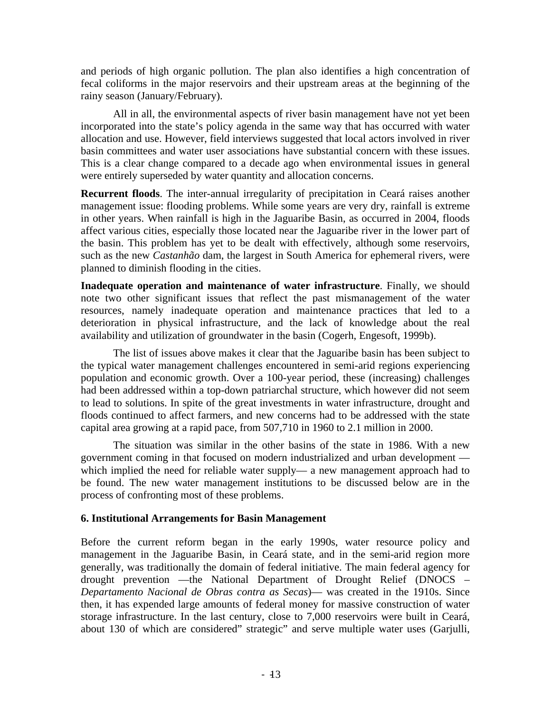and periods of high organic pollution. The plan also identifies a high concentration of fecal coliforms in the major reservoirs and their upstream areas at the beginning of the rainy season (January/February).

 All in all, the environmental aspects of river basin management have not yet been incorporated into the state's policy agenda in the same way that has occurred with water allocation and use. However, field interviews suggested that local actors involved in river basin committees and water user associations have substantial concern with these issues. This is a clear change compared to a decade ago when environmental issues in general were entirely superseded by water quantity and allocation concerns.

**Recurrent floods**. The inter-annual irregularity of precipitation in Ceará raises another management issue: flooding problems. While some years are very dry, rainfall is extreme in other years. When rainfall is high in the Jaguaribe Basin, as occurred in 2004, floods affect various cities, especially those located near the Jaguaribe river in the lower part of the basin. This problem has yet to be dealt with effectively, although some reservoirs, such as the new *Castanhão* dam, the largest in South America for ephemeral rivers, were planned to diminish flooding in the cities.

**Inadequate operation and maintenance of water infrastructure**. Finally, we should note two other significant issues that reflect the past mismanagement of the water resources, namely inadequate operation and maintenance practices that led to a deterioration in physical infrastructure, and the lack of knowledge about the real availability and utilization of groundwater in the basin (Cogerh, Engesoft, 1999b).

 The list of issues above makes it clear that the Jaguaribe basin has been subject to the typical water management challenges encountered in semi-arid regions experiencing population and economic growth. Over a 100-year period, these (increasing) challenges had been addressed within a top-down patriarchal structure, which however did not seem to lead to solutions. In spite of the great investments in water infrastructure, drought and floods continued to affect farmers, and new concerns had to be addressed with the state capital area growing at a rapid pace, from 507,710 in 1960 to 2.1 million in 2000.

 The situation was similar in the other basins of the state in 1986. With a new government coming in that focused on modern industrialized and urban development which implied the need for reliable water supply— a new management approach had to be found. The new water management institutions to be discussed below are in the process of confronting most of these problems.

## **6. Institutional Arrangements for Basin Management**

Before the current reform began in the early 1990s, water resource policy and management in the Jaguaribe Basin, in Ceará state, and in the semi-arid region more generally, was traditionally the domain of federal initiative. The main federal agency for drought prevention —the National Department of Drought Relief (DNOCS – *Departamento Nacional de Obras contra as Secas*)— was created in the 1910s. Since then, it has expended large amounts of federal money for massive construction of water storage infrastructure. In the last century, close to 7,000 reservoirs were built in Ceará, about 130 of which are considered" strategic" and serve multiple water uses (Garjulli,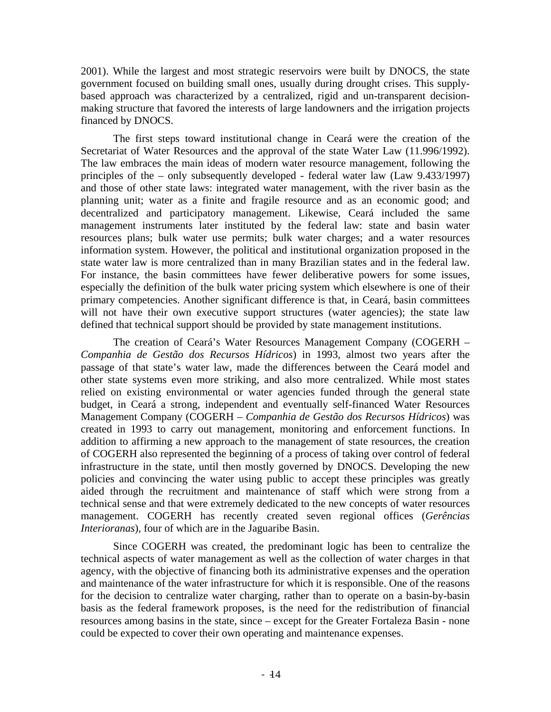2001). While the largest and most strategic reservoirs were built by DNOCS, the state government focused on building small ones, usually during drought crises. This supplybased approach was characterized by a centralized, rigid and un-transparent decisionmaking structure that favored the interests of large landowners and the irrigation projects financed by DNOCS.

 The first steps toward institutional change in Ceará were the creation of the Secretariat of Water Resources and the approval of the state Water Law (11.996/1992). The law embraces the main ideas of modern water resource management, following the principles of the – only subsequently developed - federal water law (Law 9.433/1997) and those of other state laws: integrated water management, with the river basin as the planning unit; water as a finite and fragile resource and as an economic good; and decentralized and participatory management. Likewise, Ceará included the same management instruments later instituted by the federal law: state and basin water resources plans; bulk water use permits; bulk water charges; and a water resources information system. However, the political and institutional organization proposed in the state water law is more centralized than in many Brazilian states and in the federal law. For instance, the basin committees have fewer deliberative powers for some issues, especially the definition of the bulk water pricing system which elsewhere is one of their primary competencies. Another significant difference is that, in Ceará, basin committees will not have their own executive support structures (water agencies); the state law defined that technical support should be provided by state management institutions.

 The creation of Ceará's Water Resources Management Company (COGERH – *Companhia de Gestão dos Recursos Hídricos*) in 1993, almost two years after the passage of that state's water law, made the differences between the Ceará model and other state systems even more striking, and also more centralized. While most states relied on existing environmental or water agencies funded through the general state budget, in Ceará a strong, independent and eventually self-financed Water Resources Management Company (COGERH – *Companhia de Gestão dos Recursos Hídricos*) was created in 1993 to carry out management, monitoring and enforcement functions. In addition to affirming a new approach to the management of state resources, the creation of COGERH also represented the beginning of a process of taking over control of federal infrastructure in the state, until then mostly governed by DNOCS. Developing the new policies and convincing the water using public to accept these principles was greatly aided through the recruitment and maintenance of staff which were strong from a technical sense and that were extremely dedicated to the new concepts of water resources management. COGERH has recently created seven regional offices (*Gerências Interioranas*), four of which are in the Jaguaribe Basin.

 Since COGERH was created, the predominant logic has been to centralize the technical aspects of water management as well as the collection of water charges in that agency, with the objective of financing both its administrative expenses and the operation and maintenance of the water infrastructure for which it is responsible. One of the reasons for the decision to centralize water charging, rather than to operate on a basin-by-basin basis as the federal framework proposes, is the need for the redistribution of financial resources among basins in the state, since – except for the Greater Fortaleza Basin - none could be expected to cover their own operating and maintenance expenses.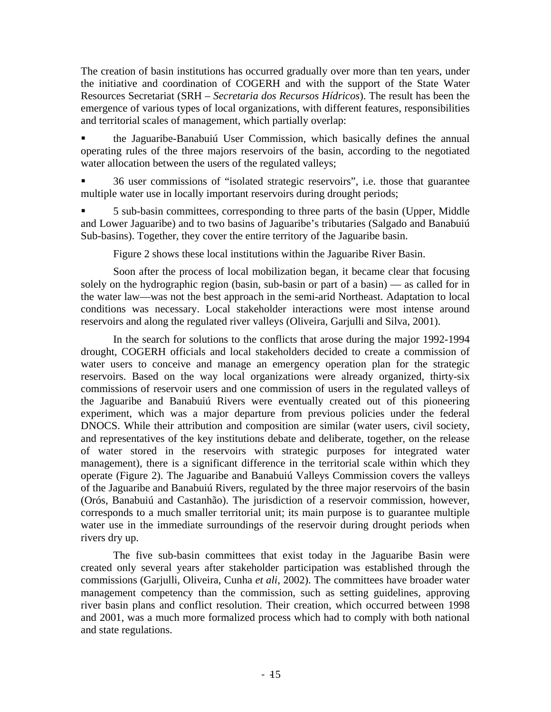The creation of basin institutions has occurred gradually over more than ten years, under the initiative and coordination of COGERH and with the support of the State Water Resources Secretariat (SRH – *Secretaria dos Recursos Hídricos*). The result has been the emergence of various types of local organizations, with different features, responsibilities and territorial scales of management, which partially overlap:

 the Jaguaribe-Banabuiú User Commission, which basically defines the annual operating rules of the three majors reservoirs of the basin, according to the negotiated water allocation between the users of the regulated valleys;

 36 user commissions of "isolated strategic reservoirs", i.e. those that guarantee multiple water use in locally important reservoirs during drought periods;

 5 sub-basin committees, corresponding to three parts of the basin (Upper, Middle and Lower Jaguaribe) and to two basins of Jaguaribe's tributaries (Salgado and Banabuiú Sub-basins). Together, they cover the entire territory of the Jaguaribe basin.

Figure 2 shows these local institutions within the Jaguaribe River Basin.

 Soon after the process of local mobilization began, it became clear that focusing solely on the hydrographic region (basin, sub-basin or part of a basin) — as called for in the water law—was not the best approach in the semi-arid Northeast. Adaptation to local conditions was necessary. Local stakeholder interactions were most intense around reservoirs and along the regulated river valleys (Oliveira, Garjulli and Silva, 2001).

 In the search for solutions to the conflicts that arose during the major 1992-1994 drought, COGERH officials and local stakeholders decided to create a commission of water users to conceive and manage an emergency operation plan for the strategic reservoirs. Based on the way local organizations were already organized, thirty-six commissions of reservoir users and one commission of users in the regulated valleys of the Jaguaribe and Banabuiú Rivers were eventually created out of this pioneering experiment, which was a major departure from previous policies under the federal DNOCS. While their attribution and composition are similar (water users, civil society, and representatives of the key institutions debate and deliberate, together, on the release of water stored in the reservoirs with strategic purposes for integrated water management), there is a significant difference in the territorial scale within which they operate (Figure 2). The Jaguaribe and Banabuiú Valleys Commission covers the valleys of the Jaguaribe and Banabuiú Rivers, regulated by the three major reservoirs of the basin (Orós, Banabuiú and Castanhão). The jurisdiction of a reservoir commission, however, corresponds to a much smaller territorial unit; its main purpose is to guarantee multiple water use in the immediate surroundings of the reservoir during drought periods when rivers dry up.

 The five sub-basin committees that exist today in the Jaguaribe Basin were created only several years after stakeholder participation was established through the commissions (Garjulli, Oliveira, Cunha *et ali*, 2002). The committees have broader water management competency than the commission, such as setting guidelines, approving river basin plans and conflict resolution. Their creation, which occurred between 1998 and 2001, was a much more formalized process which had to comply with both national and state regulations.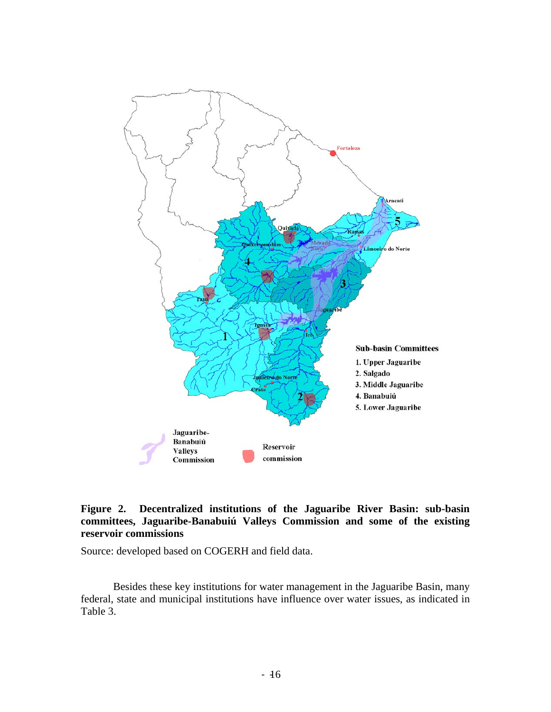

# **Figure 2. Decentralized institutions of the Jaguaribe River Basin: sub-basin committees, Jaguaribe-Banabuiú Valleys Commission and some of the existing reservoir commissions**

Source: developed based on COGERH and field data.

 Besides these key institutions for water management in the Jaguaribe Basin, many federal, state and municipal institutions have influence over water issues, as indicated in Table 3.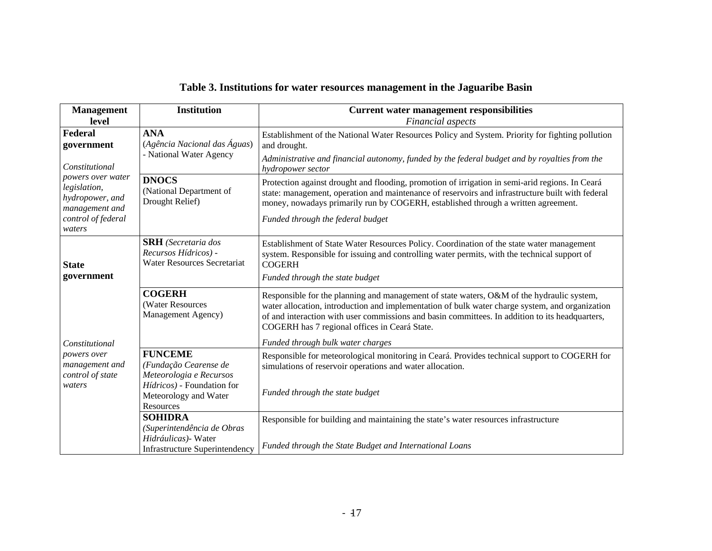|  |  |  |  | Table 3. Institutions for water resources management in the Jaguaribe Basin |
|--|--|--|--|-----------------------------------------------------------------------------|
|--|--|--|--|-----------------------------------------------------------------------------|

| <b>Management</b><br>level                                                                                                                        | <b>Institution</b>                                                                               | <b>Current water management responsibilities</b><br><b>Financial</b> aspects                                                                                                                                                                                                                                                                     |
|---------------------------------------------------------------------------------------------------------------------------------------------------|--------------------------------------------------------------------------------------------------|--------------------------------------------------------------------------------------------------------------------------------------------------------------------------------------------------------------------------------------------------------------------------------------------------------------------------------------------------|
| Federal<br>government<br>Constitutional<br>powers over water<br>legislation,<br>hydropower, and<br>management and<br>control of federal<br>waters | <b>ANA</b><br>(Agência Nacional das Águas)<br>- National Water Agency                            | Establishment of the National Water Resources Policy and System. Priority for fighting pollution<br>and drought.<br>Administrative and financial autonomy, funded by the federal budget and by royalties from the<br>hydropower sector                                                                                                           |
|                                                                                                                                                   | <b>DNOCS</b><br>(National Department of<br>Drought Relief)                                       | Protection against drought and flooding, promotion of irrigation in semi-arid regions. In Ceará<br>state: management, operation and maintenance of reservoirs and infrastructure built with federal<br>money, nowadays primarily run by COGERH, established through a written agreement.<br>Funded through the federal budget                    |
| <b>State</b><br>government                                                                                                                        | <b>SRH</b> (Secretaria dos<br>Recursos Hídricos) -<br><b>Water Resources Secretariat</b>         | Establishment of State Water Resources Policy. Coordination of the state water management<br>system. Responsible for issuing and controlling water permits, with the technical support of<br><b>COGERH</b><br>Funded through the state budget                                                                                                    |
|                                                                                                                                                   | <b>COGERH</b><br><b>(Water Resources</b><br>Management Agency)                                   | Responsible for the planning and management of state waters, O&M of the hydraulic system,<br>water allocation, introduction and implementation of bulk water charge system, and organization<br>of and interaction with user commissions and basin committees. In addition to its headquarters,<br>COGERH has 7 regional offices in Ceará State. |
| Constitutional                                                                                                                                    |                                                                                                  | Funded through bulk water charges                                                                                                                                                                                                                                                                                                                |
| powers over<br>management and<br>control of state<br>waters                                                                                       | <b>FUNCEME</b><br>(Fundação Cearense de<br>Meteorologia e Recursos<br>Hídricos) - Foundation for | Responsible for meteorological monitoring in Ceará. Provides technical support to COGERH for<br>simulations of reservoir operations and water allocation.                                                                                                                                                                                        |
|                                                                                                                                                   | Meteorology and Water<br>Resources                                                               | Funded through the state budget                                                                                                                                                                                                                                                                                                                  |
|                                                                                                                                                   | <b>SOHIDRA</b><br>(Superintendência de Obras<br>Hidráulicas)- Water                              | Responsible for building and maintaining the state's water resources infrastructure                                                                                                                                                                                                                                                              |
|                                                                                                                                                   | <b>Infrastructure Superintendency</b>                                                            | Funded through the State Budget and International Loans                                                                                                                                                                                                                                                                                          |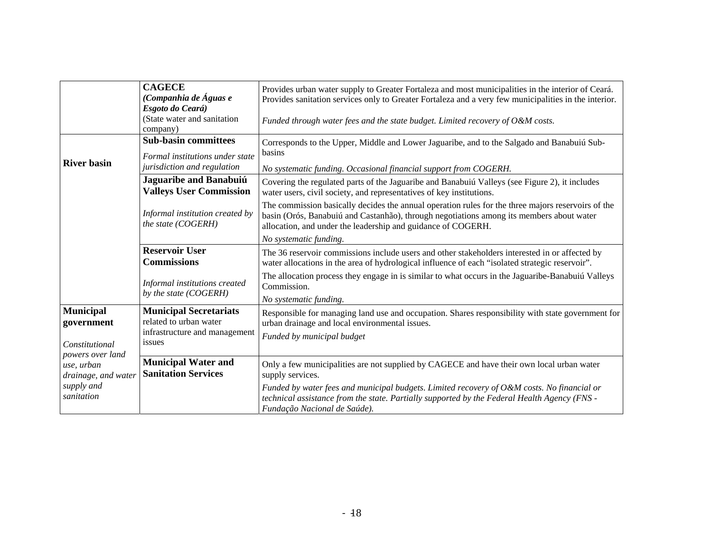|                                                                      | <b>CAGECE</b><br>(Companhia de Águas e<br>Esgoto do Ceará)                                         | Provides urban water supply to Greater Fortaleza and most municipalities in the interior of Ceará.<br>Provides sanitation services only to Greater Fortaleza and a very few municipalities in the interior.                                                                                                                                 |
|----------------------------------------------------------------------|----------------------------------------------------------------------------------------------------|---------------------------------------------------------------------------------------------------------------------------------------------------------------------------------------------------------------------------------------------------------------------------------------------------------------------------------------------|
|                                                                      | (State water and sanitation<br>company)                                                            | Funded through water fees and the state budget. Limited recovery of O&M costs.                                                                                                                                                                                                                                                              |
| <b>River basin</b>                                                   | <b>Sub-basin committees</b><br>Formal institutions under state<br>jurisdiction and regulation      | Corresponds to the Upper, Middle and Lower Jaguaribe, and to the Salgado and Banabuiú Sub-<br>basins<br>No systematic funding. Occasional financial support from COGERH.                                                                                                                                                                    |
|                                                                      | Jaguaribe and Banabuiú<br><b>Valleys User Commission</b>                                           | Covering the regulated parts of the Jaguaribe and Banabuiú Valleys (see Figure 2), it includes<br>water users, civil society, and representatives of key institutions.                                                                                                                                                                      |
|                                                                      | Informal institution created by<br>the state (COGERH)                                              | The commission basically decides the annual operation rules for the three majors reservoirs of the<br>basin (Orós, Banabuiú and Castanhão), through negotiations among its members about water<br>allocation, and under the leadership and guidance of COGERH.                                                                              |
|                                                                      |                                                                                                    | No systematic funding.                                                                                                                                                                                                                                                                                                                      |
|                                                                      | <b>Reservoir User</b><br><b>Commissions</b>                                                        | The 36 reservoir commissions include users and other stakeholders interested in or affected by<br>water allocations in the area of hydrological influence of each "isolated strategic reservoir".                                                                                                                                           |
|                                                                      | Informal institutions created<br>by the state (COGERH)                                             | The allocation process they engage in is similar to what occurs in the Jaguaribe-Banabuiú Valleys<br>Commission.<br>No systematic funding.                                                                                                                                                                                                  |
| <b>Municipal</b><br>government<br>Constitutional<br>powers over land | <b>Municipal Secretariats</b><br>related to urban water<br>infrastructure and management<br>issues | Responsible for managing land use and occupation. Shares responsibility with state government for<br>urban drainage and local environmental issues.<br>Funded by municipal budget                                                                                                                                                           |
| use, urban<br>drainage, and water<br>supply and<br>sanitation        | <b>Municipal Water and</b><br><b>Sanitation Services</b>                                           | Only a few municipalities are not supplied by CAGECE and have their own local urban water<br>supply services.<br>Funded by water fees and municipal budgets. Limited recovery of O&M costs. No financial or<br>technical assistance from the state. Partially supported by the Federal Health Agency (FNS -<br>Fundação Nacional de Saúde). |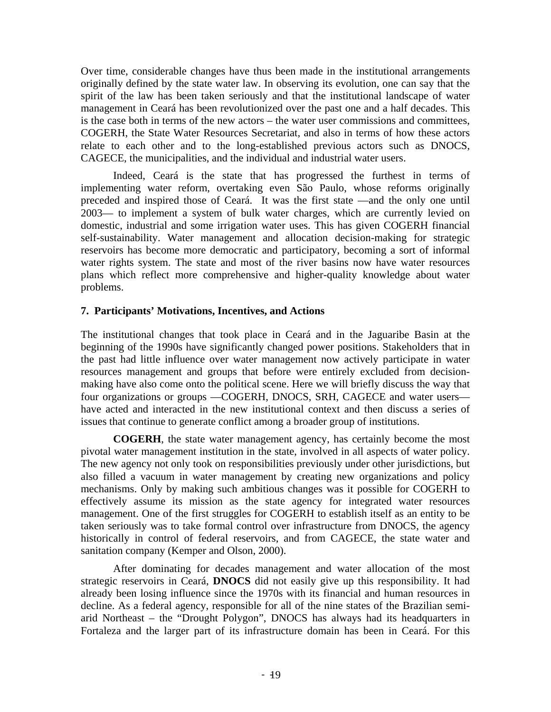Over time, considerable changes have thus been made in the institutional arrangements originally defined by the state water law. In observing its evolution, one can say that the spirit of the law has been taken seriously and that the institutional landscape of water management in Ceará has been revolutionized over the past one and a half decades. This is the case both in terms of the new actors – the water user commissions and committees, COGERH, the State Water Resources Secretariat, and also in terms of how these actors relate to each other and to the long-established previous actors such as DNOCS, CAGECE, the municipalities, and the individual and industrial water users.

 Indeed, Ceará is the state that has progressed the furthest in terms of implementing water reform, overtaking even São Paulo, whose reforms originally preceded and inspired those of Ceará. It was the first state —and the only one until 2003— to implement a system of bulk water charges, which are currently levied on domestic, industrial and some irrigation water uses. This has given COGERH financial self-sustainability. Water management and allocation decision-making for strategic reservoirs has become more democratic and participatory, becoming a sort of informal water rights system. The state and most of the river basins now have water resources plans which reflect more comprehensive and higher-quality knowledge about water problems.

# **7. Participants' Motivations, Incentives, and Actions**

The institutional changes that took place in Ceará and in the Jaguaribe Basin at the beginning of the 1990s have significantly changed power positions. Stakeholders that in the past had little influence over water management now actively participate in water resources management and groups that before were entirely excluded from decisionmaking have also come onto the political scene. Here we will briefly discuss the way that four organizations or groups —COGERH, DNOCS, SRH, CAGECE and water users have acted and interacted in the new institutional context and then discuss a series of issues that continue to generate conflict among a broader group of institutions.

 **COGERH**, the state water management agency, has certainly become the most pivotal water management institution in the state, involved in all aspects of water policy. The new agency not only took on responsibilities previously under other jurisdictions, but also filled a vacuum in water management by creating new organizations and policy mechanisms. Only by making such ambitious changes was it possible for COGERH to effectively assume its mission as the state agency for integrated water resources management. One of the first struggles for COGERH to establish itself as an entity to be taken seriously was to take formal control over infrastructure from DNOCS, the agency historically in control of federal reservoirs, and from CAGECE, the state water and sanitation company (Kemper and Olson, 2000).

 After dominating for decades management and water allocation of the most strategic reservoirs in Ceará, **DNOCS** did not easily give up this responsibility. It had already been losing influence since the 1970s with its financial and human resources in decline. As a federal agency, responsible for all of the nine states of the Brazilian semiarid Northeast – the "Drought Polygon", DNOCS has always had its headquarters in Fortaleza and the larger part of its infrastructure domain has been in Ceará. For this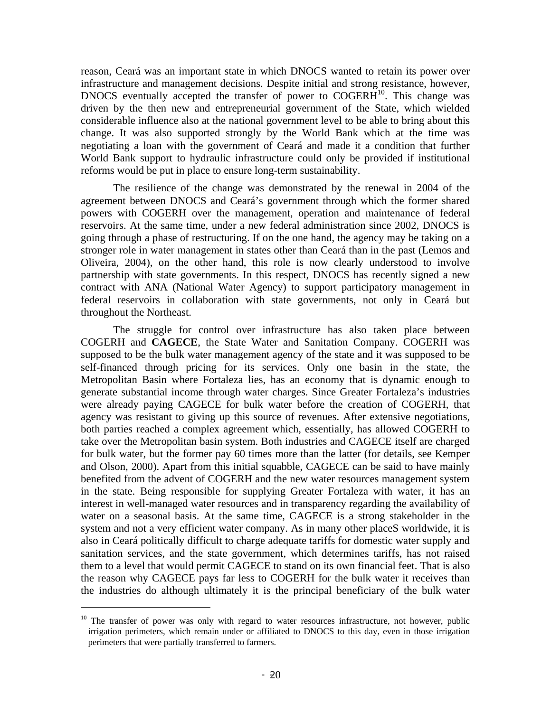reason, Ceará was an important state in which DNOCS wanted to retain its power over infrastructure and management decisions. Despite initial and strong resistance, however, DNOCS eventually accepted the transfer of power to  $COGERH<sup>10</sup>$ . This change was driven by the then new and entrepreneurial government of the State, which wielded considerable influence also at the national government level to be able to bring about this change. It was also supported strongly by the World Bank which at the time was negotiating a loan with the government of Ceará and made it a condition that further World Bank support to hydraulic infrastructure could only be provided if institutional reforms would be put in place to ensure long-term sustainability.

 The resilience of the change was demonstrated by the renewal in 2004 of the agreement between DNOCS and Ceará's government through which the former shared powers with COGERH over the management, operation and maintenance of federal reservoirs. At the same time, under a new federal administration since 2002, DNOCS is going through a phase of restructuring. If on the one hand, the agency may be taking on a stronger role in water management in states other than Ceará than in the past (Lemos and Oliveira, 2004), on the other hand, this role is now clearly understood to involve partnership with state governments. In this respect, DNOCS has recently signed a new contract with ANA (National Water Agency) to support participatory management in federal reservoirs in collaboration with state governments, not only in Ceará but throughout the Northeast.

 The struggle for control over infrastructure has also taken place between COGERH and **CAGECE**, the State Water and Sanitation Company. COGERH was supposed to be the bulk water management agency of the state and it was supposed to be self-financed through pricing for its services. Only one basin in the state, the Metropolitan Basin where Fortaleza lies, has an economy that is dynamic enough to generate substantial income through water charges. Since Greater Fortaleza's industries were already paying CAGECE for bulk water before the creation of COGERH, that agency was resistant to giving up this source of revenues. After extensive negotiations, both parties reached a complex agreement which, essentially, has allowed COGERH to take over the Metropolitan basin system. Both industries and CAGECE itself are charged for bulk water, but the former pay 60 times more than the latter (for details, see Kemper and Olson, 2000). Apart from this initial squabble, CAGECE can be said to have mainly benefited from the advent of COGERH and the new water resources management system in the state. Being responsible for supplying Greater Fortaleza with water, it has an interest in well-managed water resources and in transparency regarding the availability of water on a seasonal basis. At the same time, CAGECE is a strong stakeholder in the system and not a very efficient water company. As in many other placeS worldwide, it is also in Ceará politically difficult to charge adequate tariffs for domestic water supply and sanitation services, and the state government, which determines tariffs, has not raised them to a level that would permit CAGECE to stand on its own financial feet. That is also the reason why CAGECE pays far less to COGERH for the bulk water it receives than the industries do although ultimately it is the principal beneficiary of the bulk water

 $10$  The transfer of power was only with regard to water resources infrastructure, not however, public irrigation perimeters, which remain under or affiliated to DNOCS to this day, even in those irrigation perimeters that were partially transferred to farmers.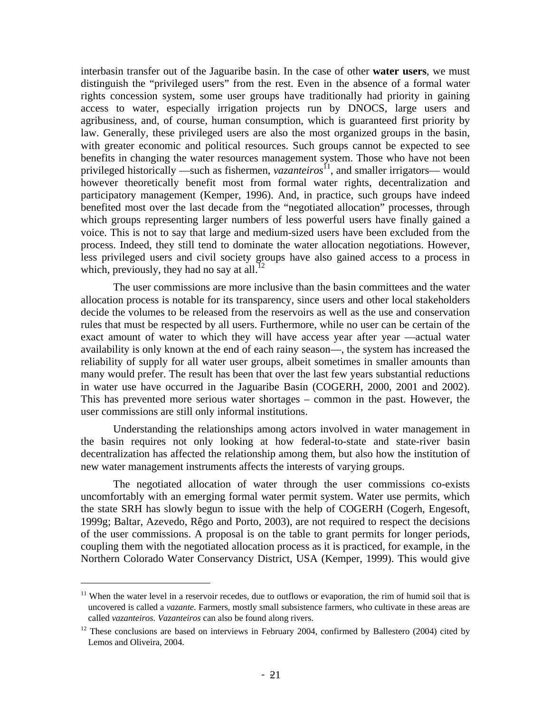interbasin transfer out of the Jaguaribe basin. In the case of other **water users**, we must distinguish the "privileged users" from the rest. Even in the absence of a formal water rights concession system, some user groups have traditionally had priority in gaining access to water, especially irrigation projects run by DNOCS, large users and agribusiness, and, of course, human consumption, which is guaranteed first priority by law. Generally, these privileged users are also the most organized groups in the basin, with greater economic and political resources. Such groups cannot be expected to see benefits in changing the water resources management system. Those who have not been privileged historically —such as fishermen, *vazanteiros*<sup>11</sup>, and smaller irrigators— would however theoretically benefit most from formal water rights, decentralization and participatory management (Kemper, 1996). And, in practice, such groups have indeed benefited most over the last decade from the "negotiated allocation" processes, through which groups representing larger numbers of less powerful users have finally gained a voice. This is not to say that large and medium-sized users have been excluded from the process. Indeed, they still tend to dominate the water allocation negotiations. However, less privileged users and civil society groups have also gained access to a process in which, previously, they had no say at all.<sup>12</sup>

 The user commissions are more inclusive than the basin committees and the water allocation process is notable for its transparency, since users and other local stakeholders decide the volumes to be released from the reservoirs as well as the use and conservation rules that must be respected by all users. Furthermore, while no user can be certain of the exact amount of water to which they will have access year after year —actual water availability is only known at the end of each rainy season—, the system has increased the reliability of supply for all water user groups, albeit sometimes in smaller amounts than many would prefer. The result has been that over the last few years substantial reductions in water use have occurred in the Jaguaribe Basin (COGERH, 2000, 2001 and 2002). This has prevented more serious water shortages – common in the past. However, the user commissions are still only informal institutions.

 Understanding the relationships among actors involved in water management in the basin requires not only looking at how federal-to-state and state-river basin decentralization has affected the relationship among them, but also how the institution of new water management instruments affects the interests of varying groups.

 The negotiated allocation of water through the user commissions co-exists uncomfortably with an emerging formal water permit system. Water use permits, which the state SRH has slowly begun to issue with the help of COGERH (Cogerh, Engesoft, 1999g; Baltar, Azevedo, Rêgo and Porto, 2003), are not required to respect the decisions of the user commissions. A proposal is on the table to grant permits for longer periods, coupling them with the negotiated allocation process as it is practiced, for example, in the Northern Colorado Water Conservancy District, USA (Kemper, 1999). This would give

<sup>&</sup>lt;sup>11</sup> When the water level in a reservoir recedes, due to outflows or evaporation, the rim of humid soil that is uncovered is called a *vazante.* Farmers, mostly small subsistence farmers, who cultivate in these areas are called *vazanteiros. Vazanteiros* can also be found along rivers.

 $12$  These conclusions are based on interviews in February 2004, confirmed by Ballestero (2004) cited by Lemos and Oliveira, 2004.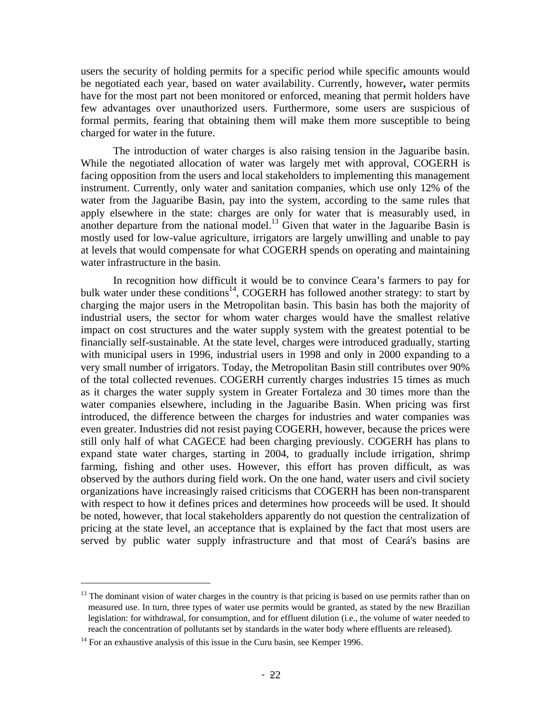users the security of holding permits for a specific period while specific amounts would be negotiated each year, based on water availability. Currently, however**,** water permits have for the most part not been monitored or enforced, meaning that permit holders have few advantages over unauthorized users. Furthermore, some users are suspicious of formal permits, fearing that obtaining them will make them more susceptible to being charged for water in the future.

 The introduction of water charges is also raising tension in the Jaguaribe basin. While the negotiated allocation of water was largely met with approval, COGERH is facing opposition from the users and local stakeholders to implementing this management instrument. Currently, only water and sanitation companies, which use only 12% of the water from the Jaguaribe Basin, pay into the system, according to the same rules that apply elsewhere in the state: charges are only for water that is measurably used, in another departure from the national model.<sup>13</sup> Given that water in the Jaguaribe Basin is mostly used for low-value agriculture, irrigators are largely unwilling and unable to pay at levels that would compensate for what COGERH spends on operating and maintaining water infrastructure in the basin.

 In recognition how difficult it would be to convince Ceara's farmers to pay for bulk water under these conditions<sup>14</sup>, COGERH has followed another strategy: to start by charging the major users in the Metropolitan basin. This basin has both the majority of industrial users, the sector for whom water charges would have the smallest relative impact on cost structures and the water supply system with the greatest potential to be financially self-sustainable. At the state level, charges were introduced gradually, starting with municipal users in 1996, industrial users in 1998 and only in 2000 expanding to a very small number of irrigators. Today, the Metropolitan Basin still contributes over 90% of the total collected revenues. COGERH currently charges industries 15 times as much as it charges the water supply system in Greater Fortaleza and 30 times more than the water companies elsewhere, including in the Jaguaribe Basin. When pricing was first introduced, the difference between the charges for industries and water companies was even greater. Industries did not resist paying COGERH, however, because the prices were still only half of what CAGECE had been charging previously. COGERH has plans to expand state water charges, starting in 2004, to gradually include irrigation, shrimp farming, fishing and other uses. However, this effort has proven difficult, as was observed by the authors during field work. On the one hand, water users and civil society organizations have increasingly raised criticisms that COGERH has been non-transparent with respect to how it defines prices and determines how proceeds will be used. It should be noted, however, that local stakeholders apparently do not question the centralization of pricing at the state level, an acceptance that is explained by the fact that most users are served by public water supply infrastructure and that most of Ceará's basins are

<sup>&</sup>lt;sup>13</sup> The dominant vision of water charges in the country is that pricing is based on use permits rather than on measured use. In turn, three types of water use permits would be granted, as stated by the new Brazilian legislation: for withdrawal, for consumption, and for effluent dilution (i.e., the volume of water needed to reach the concentration of pollutants set by standards in the water body where effluents are released).

 $14$  For an exhaustive analysis of this issue in the Curu basin, see Kemper 1996.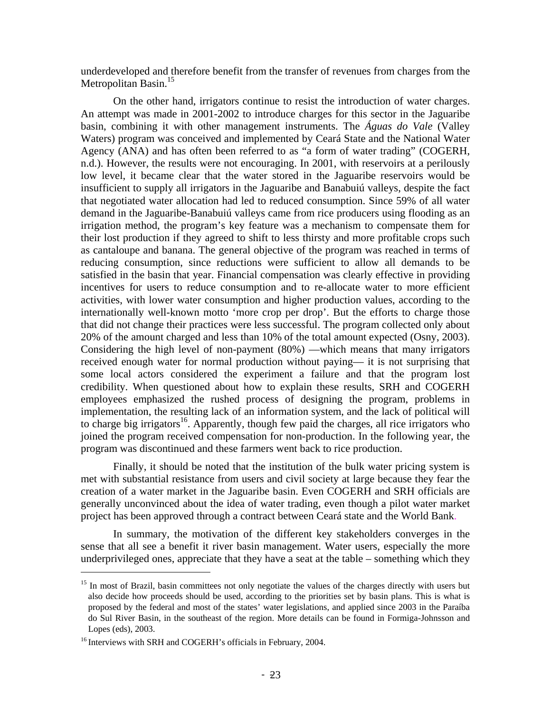underdeveloped and therefore benefit from the transfer of revenues from charges from the Metropolitan Basin.<sup>15</sup>

 On the other hand, irrigators continue to resist the introduction of water charges. An attempt was made in 2001-2002 to introduce charges for this sector in the Jaguaribe basin, combining it with other management instruments. The *Águas do Vale* (Valley Waters) program was conceived and implemented by Ceará State and the National Water Agency (ANA) and has often been referred to as "a form of water trading" (COGERH, n.d.). However, the results were not encouraging. In 2001, with reservoirs at a perilously low level, it became clear that the water stored in the Jaguaribe reservoirs would be insufficient to supply all irrigators in the Jaguaribe and Banabuiú valleys, despite the fact that negotiated water allocation had led to reduced consumption. Since 59% of all water demand in the Jaguaribe-Banabuiú valleys came from rice producers using flooding as an irrigation method, the program's key feature was a mechanism to compensate them for their lost production if they agreed to shift to less thirsty and more profitable crops such as cantaloupe and banana. The general objective of the program was reached in terms of reducing consumption, since reductions were sufficient to allow all demands to be satisfied in the basin that year. Financial compensation was clearly effective in providing incentives for users to reduce consumption and to re-allocate water to more efficient activities, with lower water consumption and higher production values, according to the internationally well-known motto 'more crop per drop'. But the efforts to charge those that did not change their practices were less successful. The program collected only about 20% of the amount charged and less than 10% of the total amount expected (Osny, 2003). Considering the high level of non-payment (80%) —which means that many irrigators received enough water for normal production without paying— it is not surprising that some local actors considered the experiment a failure and that the program lost credibility. When questioned about how to explain these results, SRH and COGERH employees emphasized the rushed process of designing the program, problems in implementation, the resulting lack of an information system, and the lack of political will to charge big irrigators<sup>16</sup>. Apparently, though few paid the charges, all rice irrigators who joined the program received compensation for non-production. In the following year, the program was discontinued and these farmers went back to rice production.

 Finally, it should be noted that the institution of the bulk water pricing system is met with substantial resistance from users and civil society at large because they fear the creation of a water market in the Jaguaribe basin. Even COGERH and SRH officials are generally unconvinced about the idea of water trading, even though a pilot water market project has been approved through a contract between Ceará state and the World Bank.

 In summary, the motivation of the different key stakeholders converges in the sense that all see a benefit it river basin management. Water users, especially the more underprivileged ones, appreciate that they have a seat at the table – something which they

<sup>&</sup>lt;sup>15</sup> In most of Brazil, basin committees not only negotiate the values of the charges directly with users but also decide how proceeds should be used, according to the priorities set by basin plans. This is what is proposed by the federal and most of the states' water legislations, and applied since 2003 in the Paraíba do Sul River Basin, in the southeast of the region. More details can be found in Formiga-Johnsson and Lopes (eds), 2003.

<sup>&</sup>lt;sup>16</sup> Interviews with SRH and COGERH's officials in February, 2004.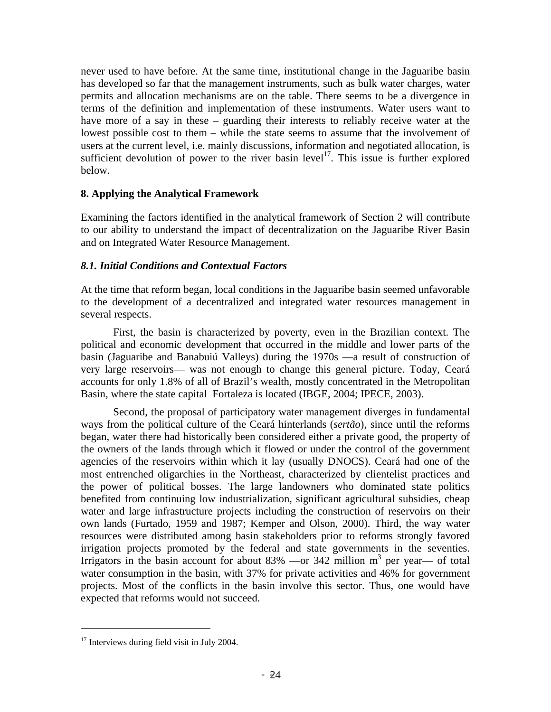never used to have before. At the same time, institutional change in the Jaguaribe basin has developed so far that the management instruments, such as bulk water charges, water permits and allocation mechanisms are on the table. There seems to be a divergence in terms of the definition and implementation of these instruments. Water users want to have more of a say in these – guarding their interests to reliably receive water at the lowest possible cost to them – while the state seems to assume that the involvement of users at the current level, i.e. mainly discussions, information and negotiated allocation, is sufficient devolution of power to the river basin level<sup>17</sup>. This issue is further explored below.

# **8. Applying the Analytical Framework**

Examining the factors identified in the analytical framework of Section 2 will contribute to our ability to understand the impact of decentralization on the Jaguaribe River Basin and on Integrated Water Resource Management.

# *8.1. Initial Conditions and Contextual Factors*

At the time that reform began, local conditions in the Jaguaribe basin seemed unfavorable to the development of a decentralized and integrated water resources management in several respects.

 First, the basin is characterized by poverty, even in the Brazilian context. The political and economic development that occurred in the middle and lower parts of the basin (Jaguaribe and Banabuiú Valleys) during the 1970s —a result of construction of very large reservoirs— was not enough to change this general picture. Today, Ceará accounts for only 1.8% of all of Brazil's wealth, mostly concentrated in the Metropolitan Basin, where the state capital Fortaleza is located (IBGE, 2004; IPECE, 2003).

 Second, the proposal of participatory water management diverges in fundamental ways from the political culture of the Ceará hinterlands (*sertão*), since until the reforms began, water there had historically been considered either a private good, the property of the owners of the lands through which it flowed or under the control of the government agencies of the reservoirs within which it lay (usually DNOCS). Ceará had one of the most entrenched oligarchies in the Northeast, characterized by clientelist practices and the power of political bosses. The large landowners who dominated state politics benefited from continuing low industrialization, significant agricultural subsidies, cheap water and large infrastructure projects including the construction of reservoirs on their own lands (Furtado, 1959 and 1987; Kemper and Olson, 2000). Third, the way water resources were distributed among basin stakeholders prior to reforms strongly favored irrigation projects promoted by the federal and state governments in the seventies. Irrigators in the basin account for about  $83\%$  —or  $342$  million m<sup>3</sup> per year— of total water consumption in the basin, with 37% for private activities and 46% for government projects. Most of the conflicts in the basin involve this sector. Thus, one would have expected that reforms would not succeed.

<sup>&</sup>lt;sup>17</sup> Interviews during field visit in July 2004.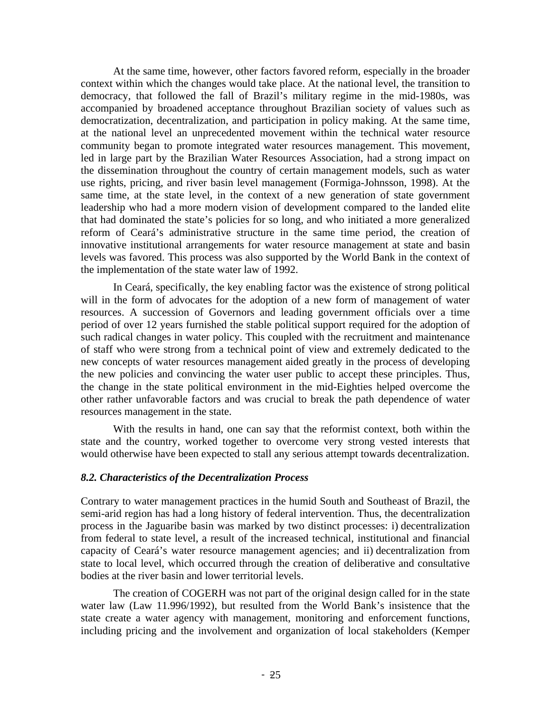At the same time, however, other factors favored reform, especially in the broader context within which the changes would take place. At the national level, the transition to democracy, that followed the fall of Brazil's military regime in the mid-1980s, was accompanied by broadened acceptance throughout Brazilian society of values such as democratization, decentralization, and participation in policy making. At the same time, at the national level an unprecedented movement within the technical water resource community began to promote integrated water resources management. This movement, led in large part by the Brazilian Water Resources Association, had a strong impact on the dissemination throughout the country of certain management models, such as water use rights, pricing, and river basin level management (Formiga-Johnsson, 1998). At the same time, at the state level, in the context of a new generation of state government leadership who had a more modern vision of development compared to the landed elite that had dominated the state's policies for so long, and who initiated a more generalized reform of Ceará's administrative structure in the same time period, the creation of innovative institutional arrangements for water resource management at state and basin levels was favored. This process was also supported by the World Bank in the context of the implementation of the state water law of 1992.

 In Ceará, specifically, the key enabling factor was the existence of strong political will in the form of advocates for the adoption of a new form of management of water resources. A succession of Governors and leading government officials over a time period of over 12 years furnished the stable political support required for the adoption of such radical changes in water policy. This coupled with the recruitment and maintenance of staff who were strong from a technical point of view and extremely dedicated to the new concepts of water resources management aided greatly in the process of developing the new policies and convincing the water user public to accept these principles. Thus, the change in the state political environment in the mid-Eighties helped overcome the other rather unfavorable factors and was crucial to break the path dependence of water resources management in the state.

 With the results in hand, one can say that the reformist context, both within the state and the country, worked together to overcome very strong vested interests that would otherwise have been expected to stall any serious attempt towards decentralization.

#### *8.2. Characteristics of the Decentralization Process*

Contrary to water management practices in the humid South and Southeast of Brazil, the semi-arid region has had a long history of federal intervention. Thus, the decentralization process in the Jaguaribe basin was marked by two distinct processes: i) decentralization from federal to state level, a result of the increased technical, institutional and financial capacity of Ceará's water resource management agencies; and ii) decentralization from state to local level, which occurred through the creation of deliberative and consultative bodies at the river basin and lower territorial levels.

 The creation of COGERH was not part of the original design called for in the state water law (Law 11.996/1992), but resulted from the World Bank's insistence that the state create a water agency with management, monitoring and enforcement functions, including pricing and the involvement and organization of local stakeholders (Kemper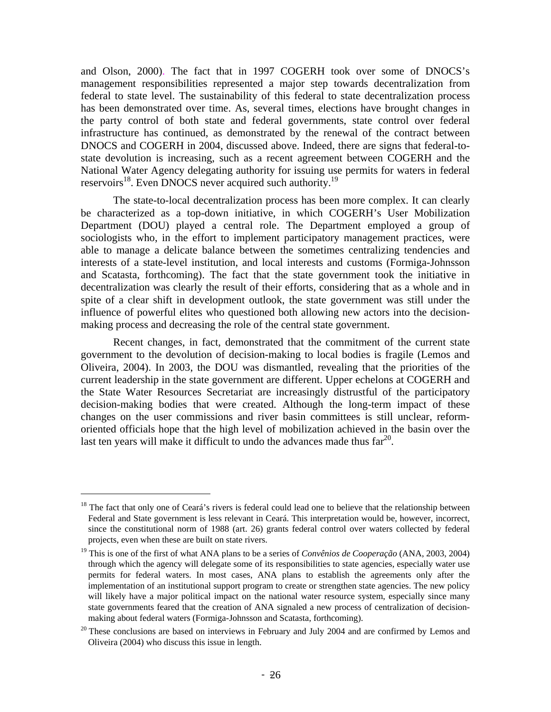and Olson, 2000). The fact that in 1997 COGERH took over some of DNOCS's management responsibilities represented a major step towards decentralization from federal to state level. The sustainability of this federal to state decentralization process has been demonstrated over time. As, several times, elections have brought changes in the party control of both state and federal governments, state control over federal infrastructure has continued, as demonstrated by the renewal of the contract between DNOCS and COGERH in 2004, discussed above. Indeed, there are signs that federal-tostate devolution is increasing, such as a recent agreement between COGERH and the National Water Agency delegating authority for issuing use permits for waters in federal reservoirs<sup>18</sup>. Even DNOCS never acquired such authority.<sup>19</sup>

 The state-to-local decentralization process has been more complex. It can clearly be characterized as a top-down initiative, in which COGERH's User Mobilization Department (DOU) played a central role. The Department employed a group of sociologists who, in the effort to implement participatory management practices, were able to manage a delicate balance between the sometimes centralizing tendencies and interests of a state-level institution, and local interests and customs (Formiga-Johnsson and Scatasta, forthcoming). The fact that the state government took the initiative in decentralization was clearly the result of their efforts, considering that as a whole and in spite of a clear shift in development outlook, the state government was still under the influence of powerful elites who questioned both allowing new actors into the decisionmaking process and decreasing the role of the central state government.

 Recent changes, in fact, demonstrated that the commitment of the current state government to the devolution of decision-making to local bodies is fragile (Lemos and Oliveira, 2004). In 2003, the DOU was dismantled, revealing that the priorities of the current leadership in the state government are different. Upper echelons at COGERH and the State Water Resources Secretariat are increasingly distrustful of the participatory decision-making bodies that were created. Although the long-term impact of these changes on the user commissions and river basin committees is still unclear, reformoriented officials hope that the high level of mobilization achieved in the basin over the last ten years will make it difficult to undo the advances made thus  $far^{20}$ .

<sup>&</sup>lt;sup>18</sup> The fact that only one of Ceará's rivers is federal could lead one to believe that the relationship between Federal and State government is less relevant in Ceará. This interpretation would be, however, incorrect, since the constitutional norm of 1988 (art. 26) grants federal control over waters collected by federal projects, even when these are built on state rivers.

<sup>19</sup> This is one of the first of what ANA plans to be a series of *Convênios de Cooperação* (ANA, 2003, 2004) through which the agency will delegate some of its responsibilities to state agencies, especially water use permits for federal waters. In most cases, ANA plans to establish the agreements only after the implementation of an institutional support program to create or strengthen state agencies. The new policy will likely have a major political impact on the national water resource system, especially since many state governments feared that the creation of ANA signaled a new process of centralization of decisionmaking about federal waters (Formiga-Johnsson and Scatasta, forthcoming).

 $20$  These conclusions are based on interviews in February and July 2004 and are confirmed by Lemos and Oliveira (2004) who discuss this issue in length.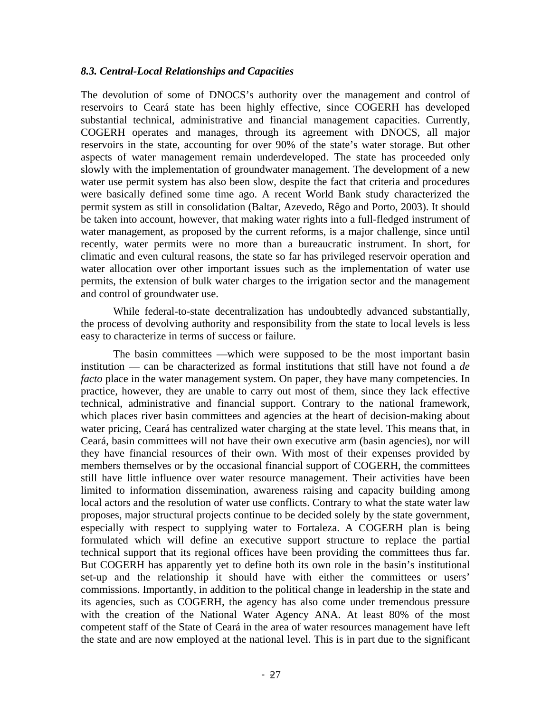#### *8.3. Central-Local Relationships and Capacities*

The devolution of some of DNOCS's authority over the management and control of reservoirs to Ceará state has been highly effective, since COGERH has developed substantial technical, administrative and financial management capacities. Currently, COGERH operates and manages, through its agreement with DNOCS, all major reservoirs in the state, accounting for over 90% of the state's water storage. But other aspects of water management remain underdeveloped. The state has proceeded only slowly with the implementation of groundwater management. The development of a new water use permit system has also been slow, despite the fact that criteria and procedures were basically defined some time ago. A recent World Bank study characterized the permit system as still in consolidation (Baltar, Azevedo, Rêgo and Porto, 2003). It should be taken into account, however, that making water rights into a full-fledged instrument of water management, as proposed by the current reforms, is a major challenge, since until recently, water permits were no more than a bureaucratic instrument. In short, for climatic and even cultural reasons, the state so far has privileged reservoir operation and water allocation over other important issues such as the implementation of water use permits, the extension of bulk water charges to the irrigation sector and the management and control of groundwater use.

 While federal-to-state decentralization has undoubtedly advanced substantially, the process of devolving authority and responsibility from the state to local levels is less easy to characterize in terms of success or failure.

 The basin committees —which were supposed to be the most important basin institution — can be characterized as formal institutions that still have not found a *de facto* place in the water management system. On paper, they have many competencies. In practice, however, they are unable to carry out most of them, since they lack effective technical, administrative and financial support. Contrary to the national framework, which places river basin committees and agencies at the heart of decision-making about water pricing, Ceará has centralized water charging at the state level. This means that, in Ceará, basin committees will not have their own executive arm (basin agencies), nor will they have financial resources of their own. With most of their expenses provided by members themselves or by the occasional financial support of COGERH, the committees still have little influence over water resource management. Their activities have been limited to information dissemination, awareness raising and capacity building among local actors and the resolution of water use conflicts. Contrary to what the state water law proposes, major structural projects continue to be decided solely by the state government, especially with respect to supplying water to Fortaleza. A COGERH plan is being formulated which will define an executive support structure to replace the partial technical support that its regional offices have been providing the committees thus far. But COGERH has apparently yet to define both its own role in the basin's institutional set-up and the relationship it should have with either the committees or users' commissions. Importantly, in addition to the political change in leadership in the state and its agencies, such as COGERH, the agency has also come under tremendous pressure with the creation of the National Water Agency ANA. At least 80% of the most competent staff of the State of Ceará in the area of water resources management have left the state and are now employed at the national level. This is in part due to the significant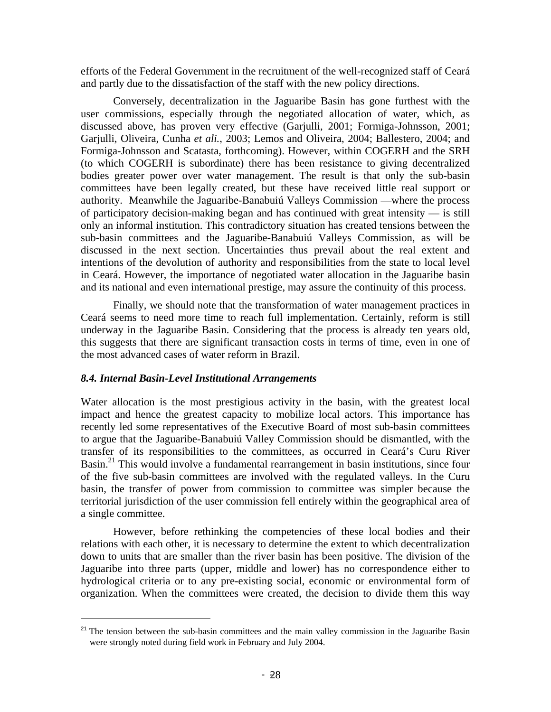efforts of the Federal Government in the recruitment of the well-recognized staff of Ceará and partly due to the dissatisfaction of the staff with the new policy directions.

 Conversely, decentralization in the Jaguaribe Basin has gone furthest with the user commissions, especially through the negotiated allocation of water, which, as discussed above, has proven very effective (Garjulli, 2001; Formiga-Johnsson, 2001; Garjulli, Oliveira, Cunha *et ali.*, 2003; Lemos and Oliveira, 2004; Ballestero, 2004; and Formiga-Johnsson and Scatasta, forthcoming). However, within COGERH and the SRH (to which COGERH is subordinate) there has been resistance to giving decentralized bodies greater power over water management. The result is that only the sub-basin committees have been legally created, but these have received little real support or authority. Meanwhile the Jaguaribe-Banabuiú Valleys Commission —where the process of participatory decision-making began and has continued with great intensity — is still only an informal institution. This contradictory situation has created tensions between the sub-basin committees and the Jaguaribe-Banabuiú Valleys Commission, as will be discussed in the next section. Uncertainties thus prevail about the real extent and intentions of the devolution of authority and responsibilities from the state to local level in Ceará. However, the importance of negotiated water allocation in the Jaguaribe basin and its national and even international prestige, may assure the continuity of this process.

 Finally, we should note that the transformation of water management practices in Ceará seems to need more time to reach full implementation. Certainly, reform is still underway in the Jaguaribe Basin. Considering that the process is already ten years old, this suggests that there are significant transaction costs in terms of time, even in one of the most advanced cases of water reform in Brazil.

## *8.4. Internal Basin-Level Institutional Arrangements*

 $\overline{a}$ 

Water allocation is the most prestigious activity in the basin, with the greatest local impact and hence the greatest capacity to mobilize local actors. This importance has recently led some representatives of the Executive Board of most sub-basin committees to argue that the Jaguaribe-Banabuiú Valley Commission should be dismantled, with the transfer of its responsibilities to the committees, as occurred in Ceará's Curu River Basin.<sup>21</sup> This would involve a fundamental rearrangement in basin institutions, since four of the five sub-basin committees are involved with the regulated valleys. In the Curu basin, the transfer of power from commission to committee was simpler because the territorial jurisdiction of the user commission fell entirely within the geographical area of a single committee.

 However, before rethinking the competencies of these local bodies and their relations with each other, it is necessary to determine the extent to which decentralization down to units that are smaller than the river basin has been positive. The division of the Jaguaribe into three parts (upper, middle and lower) has no correspondence either to hydrological criteria or to any pre-existing social, economic or environmental form of organization. When the committees were created, the decision to divide them this way

 $21$ <sup>21</sup> The tension between the sub-basin committees and the main valley commission in the Jaguaribe Basin were strongly noted during field work in February and July 2004.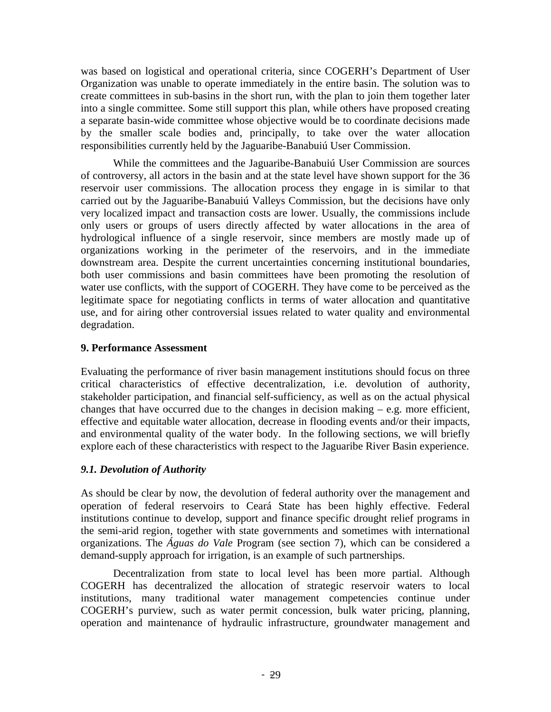was based on logistical and operational criteria, since COGERH's Department of User Organization was unable to operate immediately in the entire basin. The solution was to create committees in sub-basins in the short run, with the plan to join them together later into a single committee. Some still support this plan, while others have proposed creating a separate basin-wide committee whose objective would be to coordinate decisions made by the smaller scale bodies and, principally, to take over the water allocation responsibilities currently held by the Jaguaribe-Banabuiú User Commission.

 While the committees and the Jaguaribe-Banabuiú User Commission are sources of controversy, all actors in the basin and at the state level have shown support for the 36 reservoir user commissions. The allocation process they engage in is similar to that carried out by the Jaguaribe-Banabuiú Valleys Commission, but the decisions have only very localized impact and transaction costs are lower. Usually, the commissions include only users or groups of users directly affected by water allocations in the area of hydrological influence of a single reservoir, since members are mostly made up of organizations working in the perimeter of the reservoirs, and in the immediate downstream area. Despite the current uncertainties concerning institutional boundaries, both user commissions and basin committees have been promoting the resolution of water use conflicts, with the support of COGERH. They have come to be perceived as the legitimate space for negotiating conflicts in terms of water allocation and quantitative use, and for airing other controversial issues related to water quality and environmental degradation.

# **9. Performance Assessment**

Evaluating the performance of river basin management institutions should focus on three critical characteristics of effective decentralization, i.e. devolution of authority, stakeholder participation, and financial self-sufficiency, as well as on the actual physical changes that have occurred due to the changes in decision making  $-$  e.g. more efficient, effective and equitable water allocation, decrease in flooding events and/or their impacts, and environmental quality of the water body. In the following sections, we will briefly explore each of these characteristics with respect to the Jaguaribe River Basin experience.

# *9.1. Devolution of Authority*

As should be clear by now, the devolution of federal authority over the management and operation of federal reservoirs to Ceará State has been highly effective. Federal institutions continue to develop, support and finance specific drought relief programs in the semi-arid region, together with state governments and sometimes with international organizations. The *Águas do Vale* Program (see section 7), which can be considered a demand-supply approach for irrigation, is an example of such partnerships.

 Decentralization from state to local level has been more partial. Although COGERH has decentralized the allocation of strategic reservoir waters to local institutions, many traditional water management competencies continue under COGERH's purview, such as water permit concession, bulk water pricing, planning, operation and maintenance of hydraulic infrastructure, groundwater management and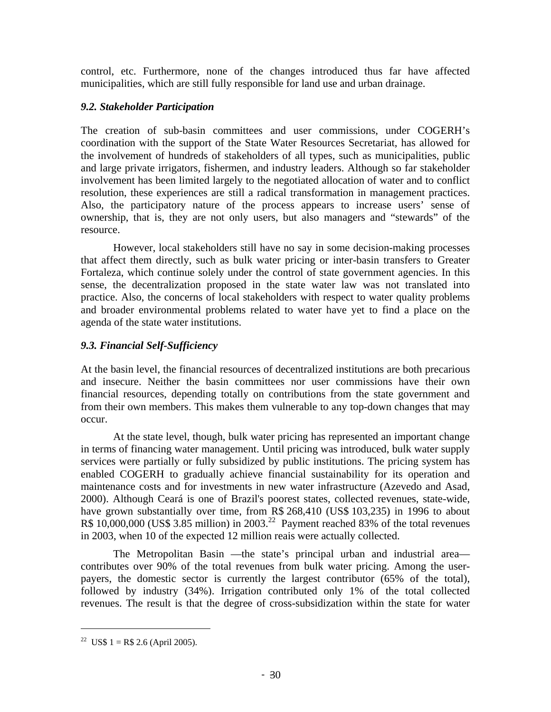control, etc. Furthermore, none of the changes introduced thus far have affected municipalities, which are still fully responsible for land use and urban drainage.

# *9.2. Stakeholder Participation*

The creation of sub-basin committees and user commissions, under COGERH's coordination with the support of the State Water Resources Secretariat, has allowed for the involvement of hundreds of stakeholders of all types, such as municipalities, public and large private irrigators, fishermen, and industry leaders. Although so far stakeholder involvement has been limited largely to the negotiated allocation of water and to conflict resolution, these experiences are still a radical transformation in management practices. Also, the participatory nature of the process appears to increase users' sense of ownership, that is, they are not only users, but also managers and "stewards" of the resource.

 However, local stakeholders still have no say in some decision-making processes that affect them directly, such as bulk water pricing or inter-basin transfers to Greater Fortaleza, which continue solely under the control of state government agencies. In this sense, the decentralization proposed in the state water law was not translated into practice. Also, the concerns of local stakeholders with respect to water quality problems and broader environmental problems related to water have yet to find a place on the agenda of the state water institutions.

# *9.3. Financial Self-Sufficiency*

At the basin level, the financial resources of decentralized institutions are both precarious and insecure. Neither the basin committees nor user commissions have their own financial resources, depending totally on contributions from the state government and from their own members. This makes them vulnerable to any top-down changes that may occur.

 At the state level, though, bulk water pricing has represented an important change in terms of financing water management. Until pricing was introduced, bulk water supply services were partially or fully subsidized by public institutions. The pricing system has enabled COGERH to gradually achieve financial sustainability for its operation and maintenance costs and for investments in new water infrastructure (Azevedo and Asad, 2000). Although Ceará is one of Brazil's poorest states, collected revenues, state-wide, have grown substantially over time, from R\$ 268,410 (US\$ 103,235) in 1996 to about R\$ 10,000,000 (US\$ 3.85 million) in 2003.<sup>22</sup> Payment reached 83% of the total revenues in 2003, when 10 of the expected 12 million reais were actually collected.

 The Metropolitan Basin —the state's principal urban and industrial area contributes over 90% of the total revenues from bulk water pricing. Among the userpayers, the domestic sector is currently the largest contributor (65% of the total), followed by industry (34%). Irrigation contributed only 1% of the total collected revenues. The result is that the degree of cross-subsidization within the state for water

<sup>&</sup>lt;sup>22</sup> US\$ 1 = R\$ 2.6 (April 2005).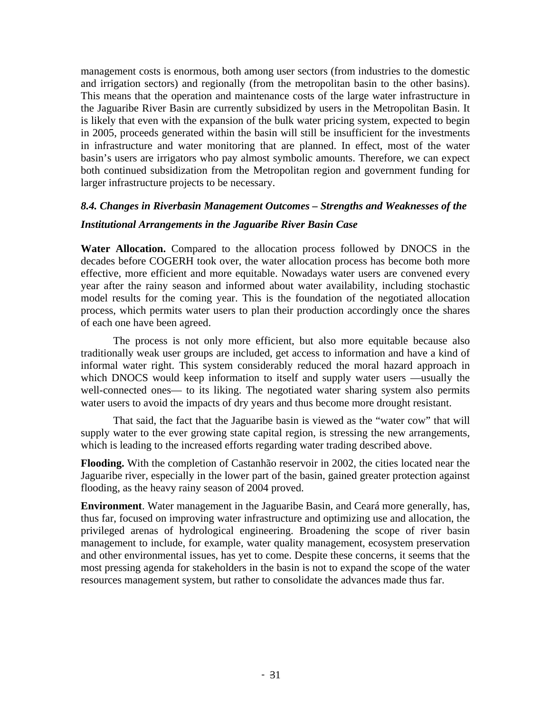management costs is enormous, both among user sectors (from industries to the domestic and irrigation sectors) and regionally (from the metropolitan basin to the other basins). This means that the operation and maintenance costs of the large water infrastructure in the Jaguaribe River Basin are currently subsidized by users in the Metropolitan Basin. It is likely that even with the expansion of the bulk water pricing system, expected to begin in 2005, proceeds generated within the basin will still be insufficient for the investments in infrastructure and water monitoring that are planned. In effect, most of the water basin's users are irrigators who pay almost symbolic amounts. Therefore, we can expect both continued subsidization from the Metropolitan region and government funding for larger infrastructure projects to be necessary.

# *8.4. Changes in Riverbasin Management Outcomes – Strengths and Weaknesses of the*

# *Institutional Arrangements in the Jaguaribe River Basin Case*

**Water Allocation.** Compared to the allocation process followed by DNOCS in the decades before COGERH took over, the water allocation process has become both more effective, more efficient and more equitable. Nowadays water users are convened every year after the rainy season and informed about water availability, including stochastic model results for the coming year. This is the foundation of the negotiated allocation process, which permits water users to plan their production accordingly once the shares of each one have been agreed.

 The process is not only more efficient, but also more equitable because also traditionally weak user groups are included, get access to information and have a kind of informal water right. This system considerably reduced the moral hazard approach in which DNOCS would keep information to itself and supply water users —usually the well-connected ones— to its liking. The negotiated water sharing system also permits water users to avoid the impacts of dry years and thus become more drought resistant.

 That said, the fact that the Jaguaribe basin is viewed as the "water cow" that will supply water to the ever growing state capital region, is stressing the new arrangements, which is leading to the increased efforts regarding water trading described above.

**Flooding.** With the completion of Castanhão reservoir in 2002, the cities located near the Jaguaribe river, especially in the lower part of the basin, gained greater protection against flooding, as the heavy rainy season of 2004 proved.

**Environment**. Water management in the Jaguaribe Basin, and Ceará more generally, has, thus far, focused on improving water infrastructure and optimizing use and allocation, the privileged arenas of hydrological engineering. Broadening the scope of river basin management to include, for example, water quality management, ecosystem preservation and other environmental issues, has yet to come. Despite these concerns, it seems that the most pressing agenda for stakeholders in the basin is not to expand the scope of the water resources management system, but rather to consolidate the advances made thus far.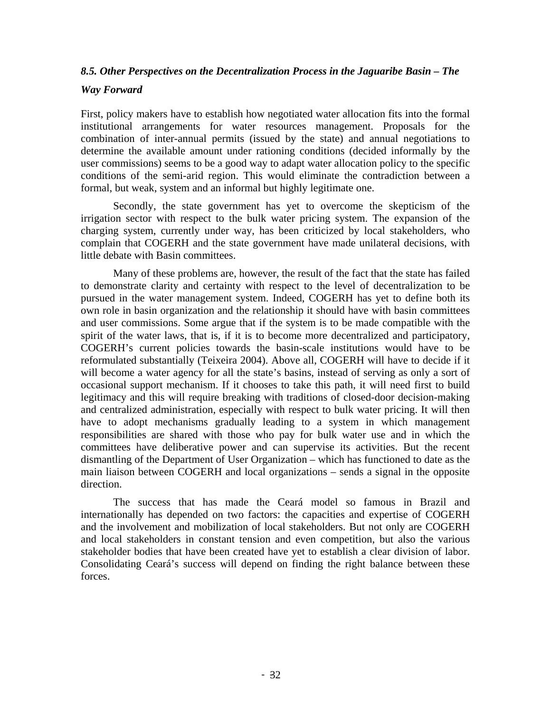# *8.5. Other Perspectives on the Decentralization Process in the Jaguaribe Basin – The*

# *Way Forward*

First, policy makers have to establish how negotiated water allocation fits into the formal institutional arrangements for water resources management. Proposals for the combination of inter-annual permits (issued by the state) and annual negotiations to determine the available amount under rationing conditions (decided informally by the user commissions) seems to be a good way to adapt water allocation policy to the specific conditions of the semi-arid region. This would eliminate the contradiction between a formal, but weak, system and an informal but highly legitimate one.

 Secondly, the state government has yet to overcome the skepticism of the irrigation sector with respect to the bulk water pricing system. The expansion of the charging system, currently under way, has been criticized by local stakeholders, who complain that COGERH and the state government have made unilateral decisions, with little debate with Basin committees.

 Many of these problems are, however, the result of the fact that the state has failed to demonstrate clarity and certainty with respect to the level of decentralization to be pursued in the water management system. Indeed, COGERH has yet to define both its own role in basin organization and the relationship it should have with basin committees and user commissions. Some argue that if the system is to be made compatible with the spirit of the water laws, that is, if it is to become more decentralized and participatory, COGERH's current policies towards the basin-scale institutions would have to be reformulated substantially (Teixeira 2004). Above all, COGERH will have to decide if it will become a water agency for all the state's basins, instead of serving as only a sort of occasional support mechanism. If it chooses to take this path, it will need first to build legitimacy and this will require breaking with traditions of closed-door decision-making and centralized administration, especially with respect to bulk water pricing. It will then have to adopt mechanisms gradually leading to a system in which management responsibilities are shared with those who pay for bulk water use and in which the committees have deliberative power and can supervise its activities. But the recent dismantling of the Department of User Organization – which has functioned to date as the main liaison between COGERH and local organizations – sends a signal in the opposite direction.

 The success that has made the Ceará model so famous in Brazil and internationally has depended on two factors: the capacities and expertise of COGERH and the involvement and mobilization of local stakeholders. But not only are COGERH and local stakeholders in constant tension and even competition, but also the various stakeholder bodies that have been created have yet to establish a clear division of labor. Consolidating Ceará's success will depend on finding the right balance between these forces.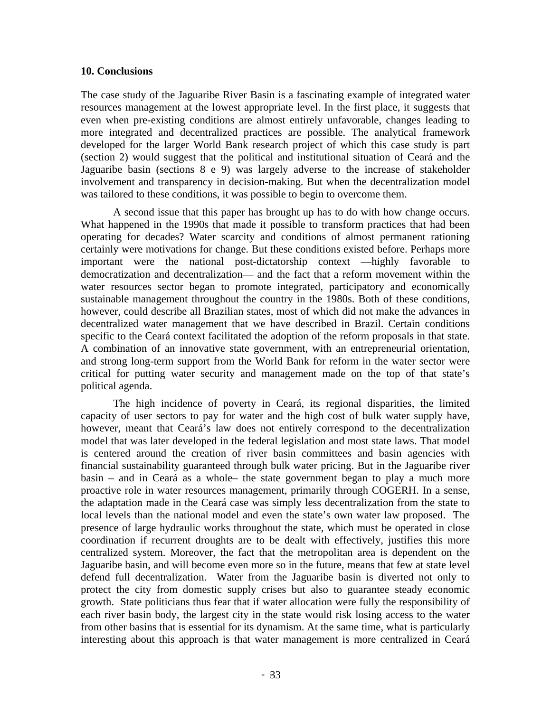#### **10. Conclusions**

The case study of the Jaguaribe River Basin is a fascinating example of integrated water resources management at the lowest appropriate level. In the first place, it suggests that even when pre-existing conditions are almost entirely unfavorable, changes leading to more integrated and decentralized practices are possible. The analytical framework developed for the larger World Bank research project of which this case study is part (section 2) would suggest that the political and institutional situation of Ceará and the Jaguaribe basin (sections 8 e 9) was largely adverse to the increase of stakeholder involvement and transparency in decision-making. But when the decentralization model was tailored to these conditions, it was possible to begin to overcome them.

 A second issue that this paper has brought up has to do with how change occurs. What happened in the 1990s that made it possible to transform practices that had been operating for decades? Water scarcity and conditions of almost permanent rationing certainly were motivations for change. But these conditions existed before. Perhaps more important were the national post-dictatorship context —highly favorable to democratization and decentralization— and the fact that a reform movement within the water resources sector began to promote integrated, participatory and economically sustainable management throughout the country in the 1980s. Both of these conditions, however, could describe all Brazilian states, most of which did not make the advances in decentralized water management that we have described in Brazil. Certain conditions specific to the Ceará context facilitated the adoption of the reform proposals in that state. A combination of an innovative state government, with an entrepreneurial orientation, and strong long-term support from the World Bank for reform in the water sector were critical for putting water security and management made on the top of that state's political agenda.

 The high incidence of poverty in Ceará, its regional disparities, the limited capacity of user sectors to pay for water and the high cost of bulk water supply have, however, meant that Ceará's law does not entirely correspond to the decentralization model that was later developed in the federal legislation and most state laws. That model is centered around the creation of river basin committees and basin agencies with financial sustainability guaranteed through bulk water pricing. But in the Jaguaribe river basin – and in Ceará as a whole– the state government began to play a much more proactive role in water resources management, primarily through COGERH. In a sense, the adaptation made in the Ceará case was simply less decentralization from the state to local levels than the national model and even the state's own water law proposed. The presence of large hydraulic works throughout the state, which must be operated in close coordination if recurrent droughts are to be dealt with effectively, justifies this more centralized system. Moreover, the fact that the metropolitan area is dependent on the Jaguaribe basin, and will become even more so in the future, means that few at state level defend full decentralization. Water from the Jaguaribe basin is diverted not only to protect the city from domestic supply crises but also to guarantee steady economic growth. State politicians thus fear that if water allocation were fully the responsibility of each river basin body, the largest city in the state would risk losing access to the water from other basins that is essential for its dynamism. At the same time, what is particularly interesting about this approach is that water management is more centralized in Ceará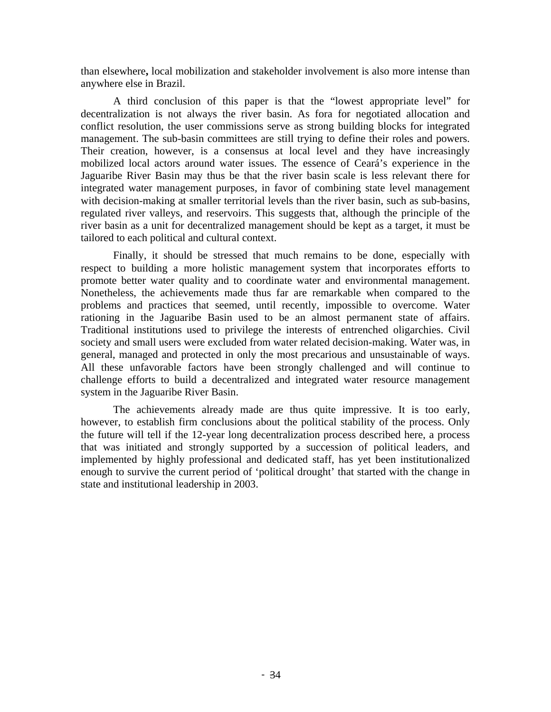than elsewhere**,** local mobilization and stakeholder involvement is also more intense than anywhere else in Brazil.

 A third conclusion of this paper is that the "lowest appropriate level" for decentralization is not always the river basin. As fora for negotiated allocation and conflict resolution, the user commissions serve as strong building blocks for integrated management. The sub-basin committees are still trying to define their roles and powers. Their creation, however, is a consensus at local level and they have increasingly mobilized local actors around water issues. The essence of Ceará's experience in the Jaguaribe River Basin may thus be that the river basin scale is less relevant there for integrated water management purposes, in favor of combining state level management with decision-making at smaller territorial levels than the river basin, such as sub-basins, regulated river valleys, and reservoirs. This suggests that, although the principle of the river basin as a unit for decentralized management should be kept as a target, it must be tailored to each political and cultural context.

 Finally, it should be stressed that much remains to be done, especially with respect to building a more holistic management system that incorporates efforts to promote better water quality and to coordinate water and environmental management. Nonetheless, the achievements made thus far are remarkable when compared to the problems and practices that seemed, until recently, impossible to overcome. Water rationing in the Jaguaribe Basin used to be an almost permanent state of affairs. Traditional institutions used to privilege the interests of entrenched oligarchies. Civil society and small users were excluded from water related decision-making. Water was, in general, managed and protected in only the most precarious and unsustainable of ways. All these unfavorable factors have been strongly challenged and will continue to challenge efforts to build a decentralized and integrated water resource management system in the Jaguaribe River Basin.

 The achievements already made are thus quite impressive. It is too early, however, to establish firm conclusions about the political stability of the process. Only the future will tell if the 12-year long decentralization process described here, a process that was initiated and strongly supported by a succession of political leaders, and implemented by highly professional and dedicated staff, has yet been institutionalized enough to survive the current period of 'political drought' that started with the change in state and institutional leadership in 2003.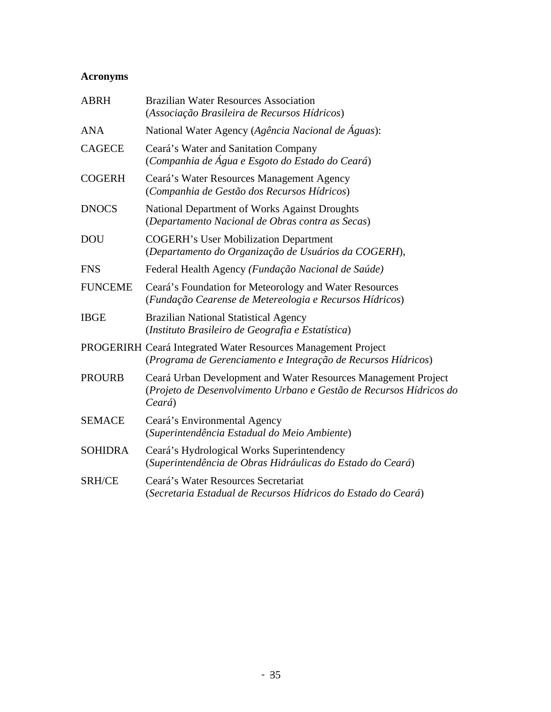# **Acronyms**

| <b>ABRH</b>    | <b>Brazilian Water Resources Association</b><br>(Associação Brasileira de Recursos Hídricos)                                                    |
|----------------|-------------------------------------------------------------------------------------------------------------------------------------------------|
| <b>ANA</b>     | National Water Agency (Agência Nacional de Águas):                                                                                              |
| <b>CAGECE</b>  | Ceará's Water and Sanitation Company<br>(Companhia de Água e Esgoto do Estado do Ceará)                                                         |
| <b>COGERH</b>  | Ceará's Water Resources Management Agency<br>(Companhia de Gestão dos Recursos Hídricos)                                                        |
| <b>DNOCS</b>   | National Department of Works Against Droughts<br>(Departamento Nacional de Obras contra as Secas)                                               |
| <b>DOU</b>     | <b>COGERH's User Mobilization Department</b><br>(Departamento do Organização de Usuários da COGERH),                                            |
| <b>FNS</b>     | Federal Health Agency (Fundação Nacional de Saúde)                                                                                              |
| <b>FUNCEME</b> | Ceará's Foundation for Meteorology and Water Resources<br>(Fundação Cearense de Metereologia e Recursos Hídricos)                               |
| <b>IBGE</b>    | <b>Brazilian National Statistical Agency</b><br>(Instituto Brasileiro de Geografia e Estatística)                                               |
|                | PROGERIRH Ceará Integrated Water Resources Management Project<br>(Programa de Gerenciamento e Integração de Recursos Hídricos)                  |
| <b>PROURB</b>  | Ceará Urban Development and Water Resources Management Project<br>(Projeto de Desenvolvimento Urbano e Gestão de Recursos Hídricos do<br>Ceará) |
| <b>SEMACE</b>  | Ceará's Environmental Agency<br>(Superintendência Estadual do Meio Ambiente)                                                                    |
| <b>SOHIDRA</b> | Ceará's Hydrological Works Superintendency<br>(Superintendência de Obras Hidráulicas do Estado do Ceará)                                        |
| <b>SRH/CE</b>  | Ceará's Water Resources Secretariat<br>(Secretaria Estadual de Recursos Hídricos do Estado do Ceará)                                            |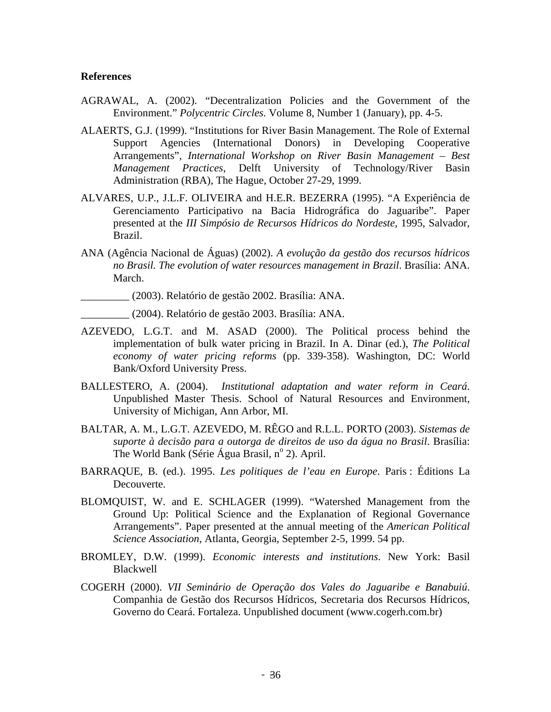#### **References**

- AGRAWAL, A. (2002). "Decentralization Policies and the Government of the Environment." *Polycentric Circles.* Volume 8, Number 1 (January), pp. 4-5.
- ALAERTS, G.J. (1999). "Institutions for River Basin Management. The Role of External Support Agencies (International Donors) in Developing Cooperative Arrangements", *International Workshop on River Basin Management – Best Management Practices*, Delft University of Technology/River Basin Administration (RBA), The Hague, October 27-29, 1999.
- ALVARES, U.P., J.L.F. OLIVEIRA and H.E.R. BEZERRA (1995). "A Experiência de Gerenciamento Participativo na Bacia Hidrográfica do Jaguaribe". Paper presented at the *III Simpósio de Recursos Hídricos do Nordeste*, 1995, Salvador, Brazil.
- ANA (Agência Nacional de Águas) (2002). *A evolução da gestão dos recursos hídricos no Brasil. The evolution of water resources management in Brazil*. Brasília: ANA. March.
- \_\_\_\_\_\_\_\_\_ (2003). Relatório de gestão 2002. Brasília: ANA.
- \_\_\_\_\_\_\_\_\_ (2004). Relatório de gestão 2003. Brasília: ANA.
- AZEVEDO, L.G.T. and M. ASAD (2000). The Political process behind the implementation of bulk water pricing in Brazil. In A. Dinar (ed.), *The Political economy of water pricing reforms* (pp. 339-358). Washington, DC: World Bank/Oxford University Press.
- BALLESTERO, A. (2004). *Institutional adaptation and water reform in Ceará*. Unpublished Master Thesis. School of Natural Resources and Environment, University of Michigan, Ann Arbor, MI.
- BALTAR, A. M., L.G.T. AZEVEDO, M. RÊGO and R.L.L. PORTO (2003). *Sistemas de suporte à decisão para a outorga de direitos de uso da água no Brasil*. Brasília: The World Bank (Série Água Brasil, nº 2). April.
- BARRAQUE, B. (ed.). 1995. *Les politiques de l'eau en Europe*. Paris : Éditions La Decouverte.
- BLOMQUIST, W. and E. SCHLAGER (1999). "Watershed Management from the Ground Up: Political Science and the Explanation of Regional Governance Arrangements". Paper presented at the annual meeting of the *American Political Science Association*, Atlanta, Georgia, September 2-5, 1999. 54 pp.
- BROMLEY, D.W. (1999). *Economic interests and institutions*. New York: Basil Blackwell
- COGERH (2000). *VII Seminário de Operação dos Vales do Jaguaribe e Banabuiú*. Companhia de Gestão dos Recursos Hídricos, Secretaria dos Recursos Hídricos, Governo do Ceará. Fortaleza. Unpublished document (www.cogerh.com.br)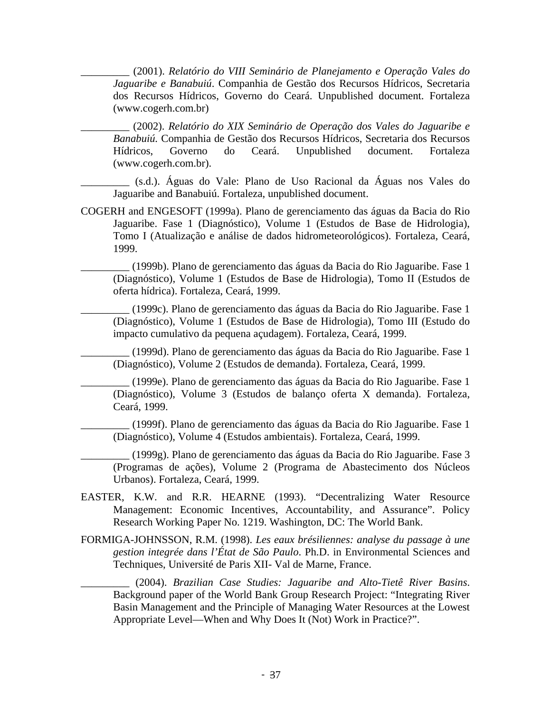\_\_\_\_\_\_\_\_\_ (2001). *Relatório do VIII Seminário de Planejamento e Operação Vales do Jaguaribe e Banabuiú*. Companhia de Gestão dos Recursos Hídricos, Secretaria dos Recursos Hídricos, Governo do Ceará. Unpublished document. Fortaleza (www.cogerh.com.br)

\_\_\_\_\_\_\_\_\_ (2002). *Relatório do XIX Seminário de Operação dos Vales do Jaguaribe e Banabuiú.* Companhia de Gestão dos Recursos Hídricos, Secretaria dos Recursos Hídricos, Governo do Ceará. Unpublished document. Fortaleza (www.cogerh.com.br).

\_\_\_\_\_\_\_\_\_ (s.d.). Águas do Vale: Plano de Uso Racional da Águas nos Vales do Jaguaribe and Banabuiú. Fortaleza, unpublished document.

COGERH and ENGESOFT (1999a). Plano de gerenciamento das águas da Bacia do Rio Jaguaribe. Fase 1 (Diagnóstico), Volume 1 (Estudos de Base de Hidrologia), Tomo I (Atualização e análise de dados hidrometeorológicos). Fortaleza, Ceará, 1999.

\_\_\_\_\_\_\_\_\_ (1999b). Plano de gerenciamento das águas da Bacia do Rio Jaguaribe. Fase 1 (Diagnóstico), Volume 1 (Estudos de Base de Hidrologia), Tomo II (Estudos de oferta hídrica). Fortaleza, Ceará, 1999.

\_\_\_\_\_\_\_\_\_ (1999c). Plano de gerenciamento das águas da Bacia do Rio Jaguaribe. Fase 1 (Diagnóstico), Volume 1 (Estudos de Base de Hidrologia), Tomo III (Estudo do impacto cumulativo da pequena açudagem). Fortaleza, Ceará, 1999.

\_\_\_\_\_\_\_\_\_ (1999d). Plano de gerenciamento das águas da Bacia do Rio Jaguaribe. Fase 1 (Diagnóstico), Volume 2 (Estudos de demanda). Fortaleza, Ceará, 1999.

\_\_\_\_\_\_\_\_\_ (1999e). Plano de gerenciamento das águas da Bacia do Rio Jaguaribe. Fase 1 (Diagnóstico), Volume 3 (Estudos de balanço oferta X demanda). Fortaleza, Ceará, 1999.

\_\_\_\_\_\_\_\_\_ (1999f). Plano de gerenciamento das águas da Bacia do Rio Jaguaribe. Fase 1 (Diagnóstico), Volume 4 (Estudos ambientais). Fortaleza, Ceará, 1999.

\_\_\_\_\_\_\_\_\_ (1999g). Plano de gerenciamento das águas da Bacia do Rio Jaguaribe. Fase 3 (Programas de ações), Volume 2 (Programa de Abastecimento dos Núcleos Urbanos). Fortaleza, Ceará, 1999.

- EASTER, K.W. and R.R. HEARNE (1993). "Decentralizing Water Resource Management: Economic Incentives, Accountability, and Assurance". Policy Research Working Paper No. 1219. Washington, DC: The World Bank.
- FORMIGA-JOHNSSON, R.M. (1998). *Les eaux brésiliennes: analyse du passage à une gestion integrée dans l'État de São Paulo*. Ph.D. in Environmental Sciences and Techniques, Université de Paris XII- Val de Marne, France.

\_\_\_\_\_\_\_\_\_ (2004). *Brazilian Case Studies: Jaguaribe and Alto-Tietê River Basins*. Background paper of the World Bank Group Research Project: "Integrating River Basin Management and the Principle of Managing Water Resources at the Lowest Appropriate Level—When and Why Does It (Not) Work in Practice?".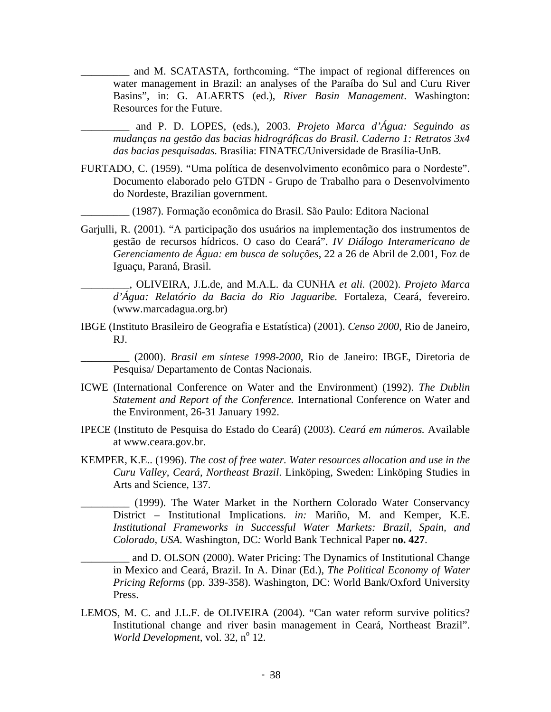and M. SCATASTA, forthcoming. "The impact of regional differences on water management in Brazil: an analyses of the Paraíba do Sul and Curu River Basins", in: G. ALAERTS (ed.), *River Basin Management*. Washington: Resources for the Future.

\_\_\_\_\_\_\_\_\_ and P. D. LOPES, (eds.), 2003. *Projeto Marca d'Água: Seguindo as mudanças na gestão das bacias hidrográficas do Brasil. Caderno 1: Retratos 3x4 das bacias pesquisadas.* Brasília: FINATEC/Universidade de Brasília-UnB.

- FURTADO, C. (1959). "Uma política de desenvolvimento econômico para o Nordeste". Documento elaborado pelo GTDN - Grupo de Trabalho para o Desenvolvimento do Nordeste, Brazilian government.
	- \_\_\_\_\_\_\_\_\_ (1987). Formação econômica do Brasil. São Paulo: Editora Nacional
- Garjulli, R. (2001). "A participação dos usuários na implementação dos instrumentos de gestão de recursos hídricos. O caso do Ceará". *IV Diálogo Interamericano de Gerenciamento de Água: em busca de soluções*, 22 a 26 de Abril de 2.001, Foz de Iguaçu, Paraná, Brasil.

\_\_\_\_\_\_\_\_\_, OLIVEIRA, J.L.de, and M.A.L. da CUNHA *et ali.* (2002). *Projeto Marca d'Água: Relatório da Bacia do Rio Jaguaribe.* Fortaleza, Ceará, fevereiro. (www.marcadagua.org.br)

IBGE (Instituto Brasileiro de Geografia e Estatística) (2001). *Censo 2000*, Rio de Janeiro, RJ.

\_\_\_\_\_\_\_\_\_ (2000). *Brasil em síntese 1998-2000*, Rio de Janeiro: IBGE, Diretoria de Pesquisa/ Departamento de Contas Nacionais.

- ICWE (International Conference on Water and the Environment) (1992). *The Dublin Statement and Report of the Conference.* International Conference on Water and the Environment, 26-31 January 1992.
- IPECE (Instituto de Pesquisa do Estado do Ceará) (2003). *Ceará em números.* Available at www.ceara.gov.br.
- KEMPER, K.E.. (1996). *The cost of free water. Water resources allocation and use in the Curu Valley, Ceará, Northeast Brazil*. Linköping, Sweden: Linköping Studies in Arts and Science, 137.
- \_\_\_\_\_\_\_\_\_ (1999). The Water Market in the Northern Colorado Water Conservancy District – Institutional Implications. *in:* Mariño, M. and Kemper, K.E. *Institutional Frameworks in Successful Water Markets: Brazil, Spain, and Colorado, USA.* Washington, DC*:* World Bank Technical Paper n**o. 427**.

and D. OLSON (2000). Water Pricing: The Dynamics of Institutional Change in Mexico and Ceará, Brazil. In A. Dinar (Ed.), *The Political Economy of Water Pricing Reforms* (pp. 339-358). Washington, DC: World Bank/Oxford University Press.

LEMOS, M. C. and J.L.F. de OLIVEIRA (2004). "Can water reform survive politics? Institutional change and river basin management in Ceará, Northeast Brazil". World Development, vol. 32, nº 12.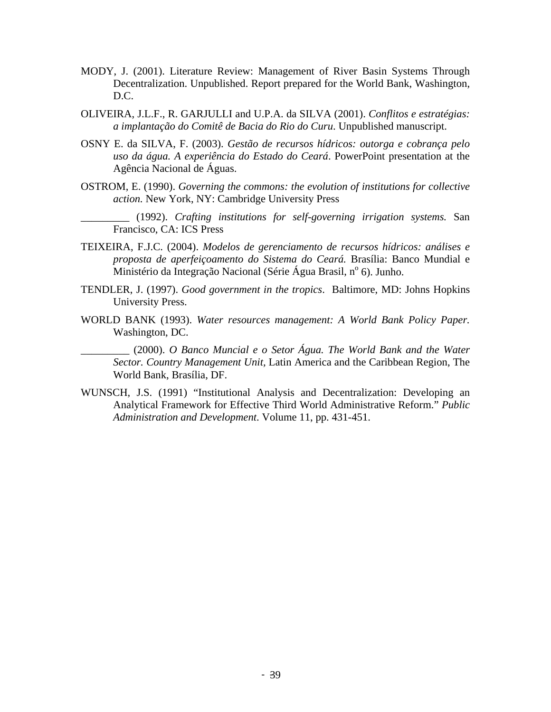- MODY, J. (2001). Literature Review: Management of River Basin Systems Through Decentralization. Unpublished. Report prepared for the World Bank, Washington, D.C.
- OLIVEIRA, J.L.F., R. GARJULLI and U.P.A. da SILVA (2001). *Conflitos e estratégias: a implantação do Comitê de Bacia do Rio do Curu*. Unpublished manuscript.
- OSNY E. da SILVA, F. (2003). *Gestão de recursos hídricos: outorga e cobrança pelo uso da água. A experiência do Estado do Ceará*. PowerPoint presentation at the Agência Nacional de Águas.
- OSTROM, E. (1990). *Governing the commons: the evolution of institutions for collective action.* New York, NY: Cambridge University Press

\_\_\_\_\_\_\_\_\_ (1992). *Crafting institutions for self-governing irrigation systems.* San Francisco, CA: ICS Press

- TEIXEIRA, F.J.C. (2004). *Modelos de gerenciamento de recursos hídricos: análises e proposta de aperfeiçoamento do Sistema do Ceará.* Brasília: Banco Mundial e Ministério da Integração Nacional (Série Água Brasil, nº 6). Junho.
- TENDLER, J. (1997). *Good government in the tropics*. Baltimore, MD: Johns Hopkins University Press.
- WORLD BANK (1993). *Water resources management: A World Bank Policy Paper.* Washington, DC.

\_\_\_\_\_\_\_\_\_ (2000). *O Banco Muncial e o Setor Água. The World Bank and the Water Sector. Country Management Unit,* Latin America and the Caribbean Region, The World Bank, Brasília, DF.

WUNSCH, J.S. (1991) "Institutional Analysis and Decentralization: Developing an Analytical Framework for Effective Third World Administrative Reform." *Public Administration and Development*. Volume 11, pp. 431-451.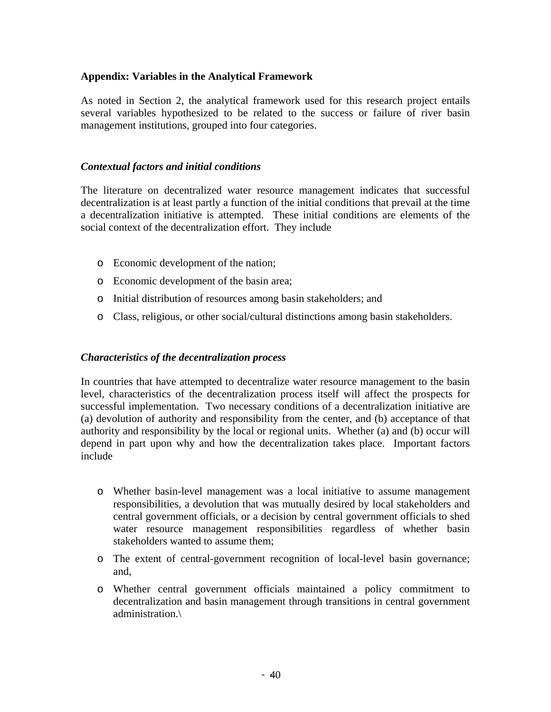# **Appendix: Variables in the Analytical Framework**

As noted in Section 2, the analytical framework used for this research project entails several variables hypothesized to be related to the success or failure of river basin management institutions, grouped into four categories.

## *Contextual factors and initial conditions*

The literature on decentralized water resource management indicates that successful decentralization is at least partly a function of the initial conditions that prevail at the time a decentralization initiative is attempted. These initial conditions are elements of the social context of the decentralization effort. They include

- o Economic development of the nation;
- o Economic development of the basin area;
- o Initial distribution of resources among basin stakeholders; and
- o Class, religious, or other social/cultural distinctions among basin stakeholders.

# *Characteristics of the decentralization process*

In countries that have attempted to decentralize water resource management to the basin level, characteristics of the decentralization process itself will affect the prospects for successful implementation. Two necessary conditions of a decentralization initiative are (a) devolution of authority and responsibility from the center, and (b) acceptance of that authority and responsibility by the local or regional units. Whether (a) and (b) occur will depend in part upon why and how the decentralization takes place. Important factors include

- o Whether basin-level management was a local initiative to assume management responsibilities, a devolution that was mutually desired by local stakeholders and central government officials, or a decision by central government officials to shed water resource management responsibilities regardless of whether basin stakeholders wanted to assume them;
- o The extent of central-government recognition of local-level basin governance; and,
- o Whether central government officials maintained a policy commitment to decentralization and basin management through transitions in central government administration.\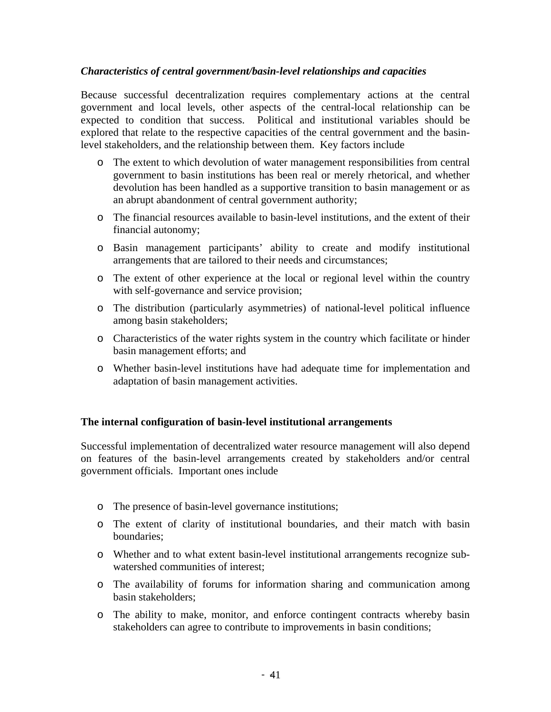## *Characteristics of central government/basin-level relationships and capacities*

Because successful decentralization requires complementary actions at the central government and local levels, other aspects of the central-local relationship can be expected to condition that success. Political and institutional variables should be explored that relate to the respective capacities of the central government and the basinlevel stakeholders, and the relationship between them. Key factors include

- o The extent to which devolution of water management responsibilities from central government to basin institutions has been real or merely rhetorical, and whether devolution has been handled as a supportive transition to basin management or as an abrupt abandonment of central government authority;
- o The financial resources available to basin-level institutions, and the extent of their financial autonomy;
- o Basin management participants' ability to create and modify institutional arrangements that are tailored to their needs and circumstances;
- o The extent of other experience at the local or regional level within the country with self-governance and service provision;
- o The distribution (particularly asymmetries) of national-level political influence among basin stakeholders;
- o Characteristics of the water rights system in the country which facilitate or hinder basin management efforts; and
- o Whether basin-level institutions have had adequate time for implementation and adaptation of basin management activities.

## **The internal configuration of basin-level institutional arrangements**

Successful implementation of decentralized water resource management will also depend on features of the basin-level arrangements created by stakeholders and/or central government officials. Important ones include

- o The presence of basin-level governance institutions;
- o The extent of clarity of institutional boundaries, and their match with basin boundaries;
- o Whether and to what extent basin-level institutional arrangements recognize subwatershed communities of interest;
- o The availability of forums for information sharing and communication among basin stakeholders;
- o The ability to make, monitor, and enforce contingent contracts whereby basin stakeholders can agree to contribute to improvements in basin conditions;